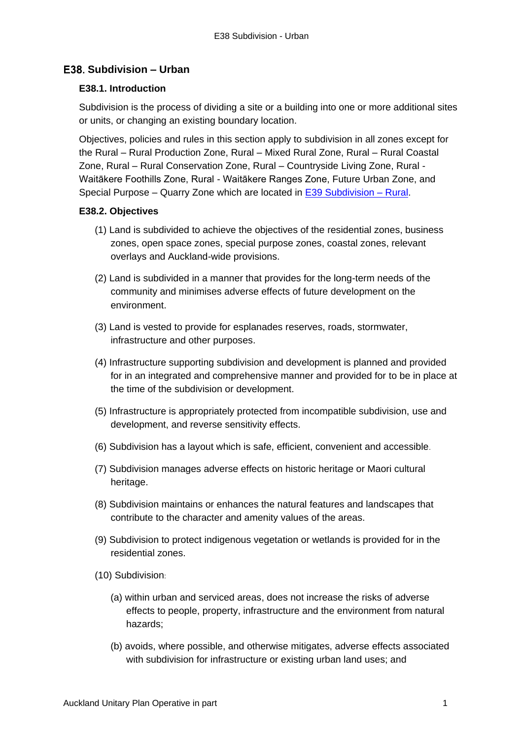# **Subdivision – Urban**

## **E38.1. Introduction**

Subdivision is the process of dividing a site or a building into one or more additional sites or units, or changing an existing boundary location.

Objectives, policies and rules in this section apply to subdivision in all zones except for the Rural – Rural Production Zone, Rural – Mixed Rural Zone, Rural – Rural Coastal Zone, Rural – Rural Conservation Zone, Rural – Countryside Living Zone, Rural - Waitākere Foothills Zone, Rural - Waitākere Ranges Zone, Future Urban Zone, and Special Purpose – Quarry Zone which are located in [E39 Subdivision](http://unitaryplan.aucklandcouncil.govt.nz/Images/Auckland%20Unitary%20Plan%20Operative/Chapter%20E%20Auckland-wide/6.%20Subdivision/E39%20Subdivision%20-%20Rural.pdf) – Rural.

## **E38.2. Objectives**

- (1) Land is subdivided to achieve the objectives of the residential zones, business zones, open space zones, special purpose zones, coastal zones, relevant overlays and Auckland-wide provisions.
- (2) Land is subdivided in a manner that provides for the long-term needs of the community and minimises adverse effects of future development on the environment.
- (3) Land is vested to provide for esplanades reserves, roads, stormwater, infrastructure and other purposes.
- (4) Infrastructure supporting subdivision and development is planned and provided for in an integrated and comprehensive manner and provided for to be in place at the time of the subdivision or development.
- (5) Infrastructure is appropriately protected from incompatible subdivision, use and development, and reverse sensitivity effects.
- (6) Subdivision has a layout which is safe, efficient, convenient and accessible.
- (7) Subdivision manages adverse effects on historic heritage or Maori cultural heritage.
- (8) Subdivision maintains or enhances the natural features and landscapes that contribute to the character and amenity values of the areas.
- (9) Subdivision to protect indigenous vegetation or wetlands is provided for in the residential zones.
- (10) Subdivision:
	- (a) within urban and serviced areas, does not increase the risks of adverse effects to people, property, infrastructure and the environment from natural hazards;
	- (b) avoids, where possible, and otherwise mitigates, adverse effects associated with subdivision for infrastructure or existing urban land uses; and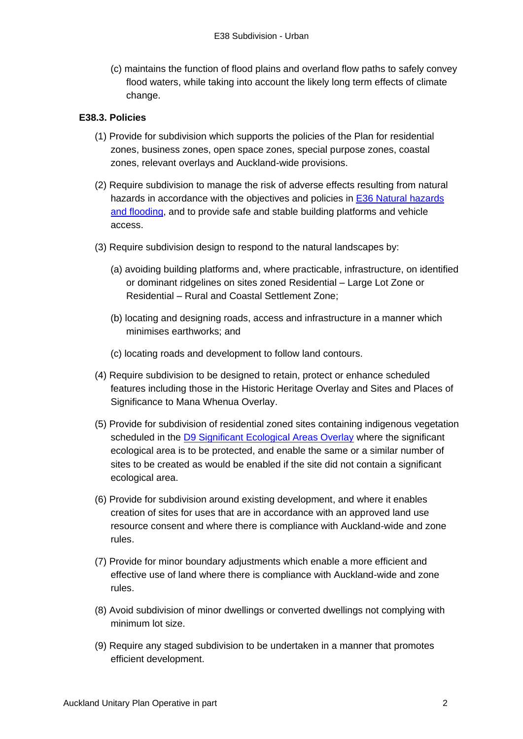(c) maintains the function of flood plains and overland flow paths to safely convey flood waters, while taking into account the likely long term effects of climate change.

## **E38.3. Policies**

- (1) Provide for subdivision which supports the policies of the Plan for residential zones, business zones, open space zones, special purpose zones, coastal zones, relevant overlays and Auckland-wide provisions.
- (2) Require subdivision to manage the risk of adverse effects resulting from natural hazards in accordance with the objectives and policies in [E36 Natural hazards](http://unitaryplan.aucklandcouncil.govt.nz/Images/Auckland%20Unitary%20Plan%20Operative/Chapter%20E%20Auckland-wide/5.%20Environmental%20Risk/E36%20Natural%20hazards%20and%20flooding.pdf)  [and flooding,](http://unitaryplan.aucklandcouncil.govt.nz/Images/Auckland%20Unitary%20Plan%20Operative/Chapter%20E%20Auckland-wide/5.%20Environmental%20Risk/E36%20Natural%20hazards%20and%20flooding.pdf) and to provide safe and stable building platforms and vehicle access.
- (3) Require subdivision design to respond to the natural landscapes by:
	- (a) avoiding building platforms and, where practicable, infrastructure, on identified or dominant ridgelines on sites zoned Residential – Large Lot Zone or Residential – Rural and Coastal Settlement Zone;
	- (b) locating and designing roads, access and infrastructure in a manner which minimises earthworks; and
	- (c) locating roads and development to follow land contours.
- (4) Require subdivision to be designed to retain, protect or enhance scheduled features including those in the Historic Heritage Overlay and Sites and Places of Significance to Mana Whenua Overlay.
- (5) Provide for subdivision of residential zoned sites containing indigenous vegetation scheduled in the [D9 Significant Ecological Areas Overlay](http://unitaryplan.aucklandcouncil.govt.nz/Images/Auckland%20Unitary%20Plan%20Operative/Chapter%20D%20Overlays/1.%20Natural%20Resources/D9%20Significant%20Ecological%20Areas%20Overlay.pdf) where the significant ecological area is to be protected, and enable the same or a similar number of sites to be created as would be enabled if the site did not contain a significant ecological area.
- (6) Provide for subdivision around existing development, and where it enables creation of sites for uses that are in accordance with an approved land use resource consent and where there is compliance with Auckland-wide and zone rules.
- (7) Provide for minor boundary adjustments which enable a more efficient and effective use of land where there is compliance with Auckland-wide and zone rules.
- (8) Avoid subdivision of minor dwellings or converted dwellings not complying with minimum lot size.
- (9) Require any staged subdivision to be undertaken in a manner that promotes efficient development.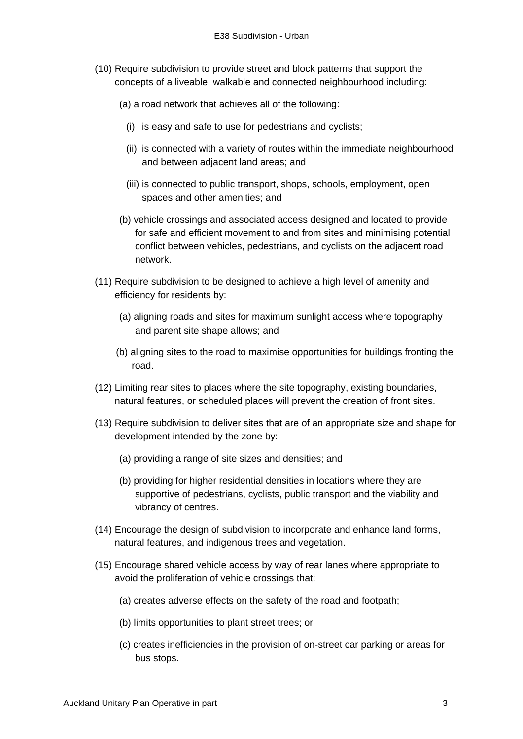- (10) Require subdivision to provide street and block patterns that support the concepts of a liveable, walkable and connected neighbourhood including:
	- (a) a road network that achieves all of the following:
		- (i) is easy and safe to use for pedestrians and cyclists;
		- (ii) is connected with a variety of routes within the immediate neighbourhood and between adjacent land areas; and
		- (iii) is connected to public transport, shops, schools, employment, open spaces and other amenities; and
	- (b) vehicle crossings and associated access designed and located to provide for safe and efficient movement to and from sites and minimising potential conflict between vehicles, pedestrians, and cyclists on the adjacent road network.
- (11) Require subdivision to be designed to achieve a high level of amenity and efficiency for residents by:
	- (a) aligning roads and sites for maximum sunlight access where topography and parent site shape allows; and
	- (b) aligning sites to the road to maximise opportunities for buildings fronting the road.
- (12) Limiting rear sites to places where the site topography, existing boundaries, natural features, or scheduled places will prevent the creation of front sites.
- (13) Require subdivision to deliver sites that are of an appropriate size and shape for development intended by the zone by:
	- (a) providing a range of site sizes and densities; and
	- (b) providing for higher residential densities in locations where they are supportive of pedestrians, cyclists, public transport and the viability and vibrancy of centres.
- (14) Encourage the design of subdivision to incorporate and enhance land forms, natural features, and indigenous trees and vegetation.
- (15) Encourage shared vehicle access by way of rear lanes where appropriate to avoid the proliferation of vehicle crossings that:
	- (a) creates adverse effects on the safety of the road and footpath;
	- (b) limits opportunities to plant street trees; or
	- (c) creates inefficiencies in the provision of on-street car parking or areas for bus stops.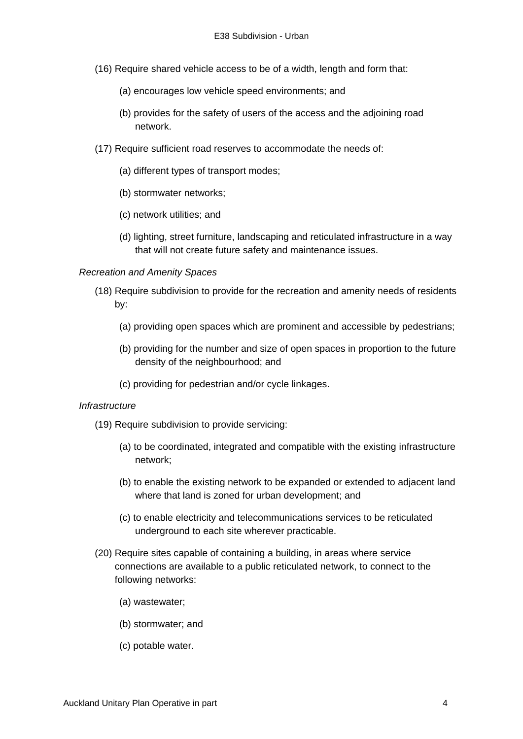- (16) Require shared vehicle access to be of a width, length and form that:
	- (a) encourages low vehicle speed environments; and
	- (b) provides for the safety of users of the access and the adjoining road network.
- (17) Require sufficient road reserves to accommodate the needs of:
	- (a) different types of transport modes;
	- (b) stormwater networks;
	- (c) network utilities; and
	- (d) lighting, street furniture, landscaping and reticulated infrastructure in a way that will not create future safety and maintenance issues.

### *Recreation and Amenity Spaces*

- (18) Require subdivision to provide for the recreation and amenity needs of residents by:
	- (a) providing open spaces which are prominent and accessible by pedestrians;
	- (b) providing for the number and size of open spaces in proportion to the future density of the neighbourhood; and
	- (c) providing for pedestrian and/or cycle linkages.

#### *Infrastructure*

- (19) Require subdivision to provide servicing:
	- (a) to be coordinated, integrated and compatible with the existing infrastructure network;
	- (b) to enable the existing network to be expanded or extended to adjacent land where that land is zoned for urban development; and
	- (c) to enable electricity and telecommunications services to be reticulated underground to each site wherever practicable.
- (20) Require sites capable of containing a building, in areas where service connections are available to a public reticulated network, to connect to the following networks:
	- (a) wastewater;
	- (b) stormwater; and
	- (c) potable water.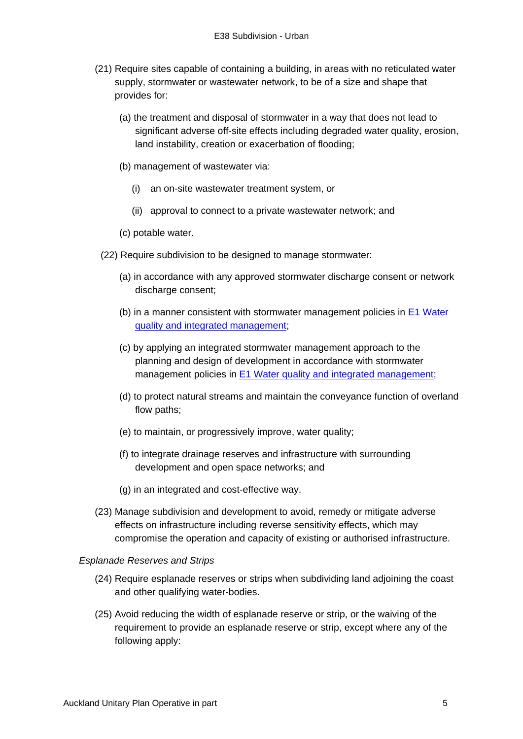- (21) Require sites capable of containing a building, in areas with no reticulated water supply, stormwater or wastewater network, to be of a size and shape that provides for:
	- (a) the treatment and disposal of stormwater in a way that does not lead to significant adverse off-site effects including degraded water quality, erosion, land instability, creation or exacerbation of flooding;
	- (b) management of wastewater via:
		- (i) an on-site wastewater treatment system, or
		- (ii) approval to connect to a private wastewater network; and
	- (c) potable water.
	- (22) Require subdivision to be designed to manage stormwater:
		- (a) in accordance with any approved stormwater discharge consent or network discharge consent;
		- (b) in a manner consistent with stormwater management policies in [E1 Water](http://unitaryplan.aucklandcouncil.govt.nz/Images/Auckland%20Unitary%20Plan%20Operative/Chapter%20E%20Auckland-wide/1.%20Natural%20Resources/E1%20Water%20quality%20and%20integrated%20management.pdf)  [quality and integrated management;](http://unitaryplan.aucklandcouncil.govt.nz/Images/Auckland%20Unitary%20Plan%20Operative/Chapter%20E%20Auckland-wide/1.%20Natural%20Resources/E1%20Water%20quality%20and%20integrated%20management.pdf)
		- (c) by applying an integrated stormwater management approach to the planning and design of development in accordance with stormwater management policies in [E1 Water quality and integrated management;](http://unitaryplan.aucklandcouncil.govt.nz/Images/Auckland%20Unitary%20Plan%20Operative/Chapter%20E%20Auckland-wide/1.%20Natural%20Resources/E1%20Water%20quality%20and%20integrated%20management.pdf)
		- (d) to protect natural streams and maintain the conveyance function of overland flow paths;
		- (e) to maintain, or progressively improve, water quality;
		- (f) to integrate drainage reserves and infrastructure with surrounding development and open space networks; and
		- (g) in an integrated and cost-effective way.
- (23) Manage subdivision and development to avoid, remedy or mitigate adverse effects on infrastructure including reverse sensitivity effects, which may compromise the operation and capacity of existing or authorised infrastructure.

#### *Esplanade Reserves and Strips*

- (24) Require esplanade reserves or strips when subdividing land adjoining the coast and other qualifying water-bodies.
- (25) Avoid reducing the width of esplanade reserve or strip, or the waiving of the requirement to provide an esplanade reserve or strip, except where any of the following apply: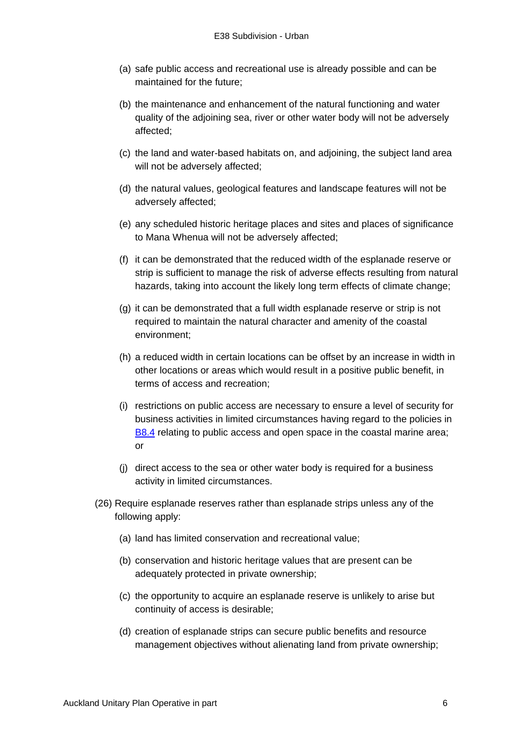- (a) safe public access and recreational use is already possible and can be maintained for the future;
- (b) the maintenance and enhancement of the natural functioning and water quality of the adjoining sea, river or other water body will not be adversely affected;
- (c) the land and water-based habitats on, and adjoining, the subject land area will not be adversely affected;
- (d) the natural values, geological features and landscape features will not be adversely affected;
- (e) any scheduled historic heritage places and sites and places of significance to Mana Whenua will not be adversely affected;
- (f) it can be demonstrated that the reduced width of the esplanade reserve or strip is sufficient to manage the risk of adverse effects resulting from natural hazards, taking into account the likely long term effects of climate change;
- (g) it can be demonstrated that a full width esplanade reserve or strip is not required to maintain the natural character and amenity of the coastal environment;
- (h) a reduced width in certain locations can be offset by an increase in width in other locations or areas which would result in a positive public benefit, in terms of access and recreation;
- (i) restrictions on public access are necessary to ensure a level of security for business activities in limited circumstances having regard to the policies in [B8.4](http://unitaryplan.aucklandcouncil.govt.nz/Images/Auckland%20Unitary%20Plan%20Operative/Chapter%20B%20RPS/B8%20Coastal%20environment.pdf) relating to public access and open space in the coastal marine area; or
- (j) direct access to the sea or other water body is required for a business activity in limited circumstances.
- (26) Require esplanade reserves rather than esplanade strips unless any of the following apply:
	- (a) land has limited conservation and recreational value;
	- (b) conservation and historic heritage values that are present can be adequately protected in private ownership;
	- (c) the opportunity to acquire an esplanade reserve is unlikely to arise but continuity of access is desirable;
	- (d) creation of esplanade strips can secure public benefits and resource management objectives without alienating land from private ownership;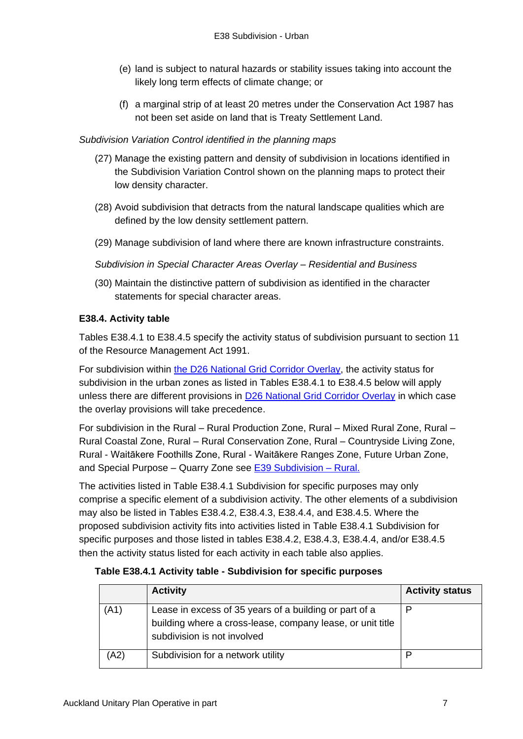- (e) land is subject to natural hazards or stability issues taking into account the likely long term effects of climate change; or
- (f) a marginal strip of at least 20 metres under the Conservation Act 1987 has not been set aside on land that is Treaty Settlement Land.

## *Subdivision Variation Control identified in the planning maps*

- (27) Manage the existing pattern and density of subdivision in locations identified in the Subdivision Variation Control shown on the planning maps to protect their low density character.
- (28) Avoid subdivision that detracts from the natural landscape qualities which are defined by the low density settlement pattern.
- (29) Manage subdivision of land where there are known infrastructure constraints.

*Subdivision in Special Character Areas Overlay – Residential and Business*

(30) Maintain the distinctive pattern of subdivision as identified in the character statements for special character areas.

## **E38.4. Activity table**

Tables E38.4.1 to E38.4.5 specify the activity status of subdivision pursuant to section 11 of the Resource Management Act 1991.

For subdivision within [the D26 National Grid Corridor](http://unitaryplan.aucklandcouncil.govt.nz/Images/Auckland%20Unitary%20Plan%20Operative/Chapter%20D%20Overlays/6.%20Infrastructure/D26%20National%20Grid%20Corridor%20Overlay.pdf) Overlay, the activity status for subdivision in the urban zones as listed in Tables E38.4.1 to E38.4.5 below will apply unless there are different provisions in [D26 National Grid Corridor Overlay](http://unitaryplan.aucklandcouncil.govt.nz/Images/Auckland%20Unitary%20Plan%20Operative/Chapter%20D%20Overlays/6.%20Infrastructure/D26%20National%20Grid%20Corridor%20Overlay.pdf) in which case the overlay provisions will take precedence.

For subdivision in the Rural – Rural Production Zone, Rural – Mixed Rural Zone, Rural – Rural Coastal Zone, Rural – Rural Conservation Zone, Rural – Countryside Living Zone, Rural - Waitākere Foothills Zone, Rural - Waitākere Ranges Zone, Future Urban Zone, and Special Purpose – Quarry Zone see [E39 Subdivision](http://unitaryplan.aucklandcouncil.govt.nz/Images/Auckland%20Unitary%20Plan%20Operative/Chapter%20E%20Auckland-wide/6.%20Subdivision/E39%20Subdivision%20-%20Rural.pdf) – Rural.

The activities listed in Table E38.4.1 Subdivision for specific purposes may only comprise a specific element of a subdivision activity. The other elements of a subdivision may also be listed in Tables E38.4.2, E38.4.3, E38.4.4, and E38.4.5. Where the proposed subdivision activity fits into activities listed in Table E38.4.1 Subdivision for specific purposes and those listed in tables E38.4.2, E38.4.3, E38.4.4, and/or E38.4.5 then the activity status listed for each activity in each table also applies.

## **Table E38.4.1 Activity table - Subdivision for specific purposes**

|      | <b>Activity</b>                                                                                                                                     | <b>Activity status</b> |
|------|-----------------------------------------------------------------------------------------------------------------------------------------------------|------------------------|
| (A1) | Lease in excess of 35 years of a building or part of a<br>building where a cross-lease, company lease, or unit title<br>subdivision is not involved | P                      |
| (A2) | Subdivision for a network utility                                                                                                                   | D                      |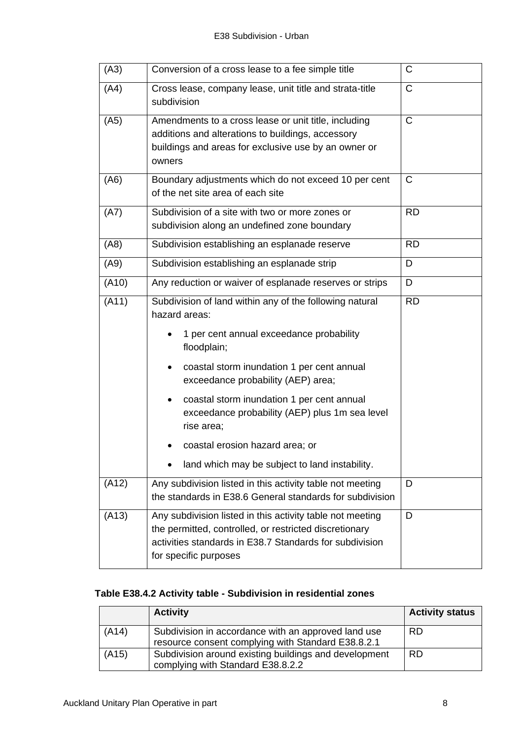| (A3)  | Conversion of a cross lease to a fee simple title                                                                                                                                                       | C            |
|-------|---------------------------------------------------------------------------------------------------------------------------------------------------------------------------------------------------------|--------------|
| (A4)  | Cross lease, company lease, unit title and strata-title<br>subdivision                                                                                                                                  | $\mathsf{C}$ |
| (A5)  | Amendments to a cross lease or unit title, including<br>additions and alterations to buildings, accessory<br>buildings and areas for exclusive use by an owner or<br>owners                             | $\mathsf{C}$ |
| (A6)  | Boundary adjustments which do not exceed 10 per cent<br>of the net site area of each site                                                                                                               | C            |
| (A7)  | Subdivision of a site with two or more zones or<br>subdivision along an undefined zone boundary                                                                                                         | <b>RD</b>    |
| (AB)  | Subdivision establishing an esplanade reserve                                                                                                                                                           | <b>RD</b>    |
| (A9)  | Subdivision establishing an esplanade strip                                                                                                                                                             | D            |
| (A10) | Any reduction or waiver of esplanade reserves or strips                                                                                                                                                 | D            |
| (A11) | Subdivision of land within any of the following natural<br>hazard areas:<br>1 per cent annual exceedance probability<br>floodplain;                                                                     | <b>RD</b>    |
|       | coastal storm inundation 1 per cent annual<br>$\bullet$<br>exceedance probability (AEP) area;                                                                                                           |              |
|       | coastal storm inundation 1 per cent annual<br>$\bullet$<br>exceedance probability (AEP) plus 1m sea level<br>rise area;                                                                                 |              |
|       | coastal erosion hazard area; or                                                                                                                                                                         |              |
|       | land which may be subject to land instability.                                                                                                                                                          |              |
| (A12) | Any subdivision listed in this activity table not meeting<br>the standards in E38.6 General standards for subdivision                                                                                   | D            |
| (A13) | Any subdivision listed in this activity table not meeting<br>the permitted, controlled, or restricted discretionary<br>activities standards in E38.7 Standards for subdivision<br>for specific purposes | D            |

# **Table E38.4.2 Activity table - Subdivision in residential zones**

|       | <b>Activity</b>                                                                                           | <b>Activity status</b> |
|-------|-----------------------------------------------------------------------------------------------------------|------------------------|
| (A14) | Subdivision in accordance with an approved land use<br>resource consent complying with Standard E38.8.2.1 | <b>RD</b>              |
| (A15) | Subdivision around existing buildings and development<br>complying with Standard E38.8.2.2                | <b>RD</b>              |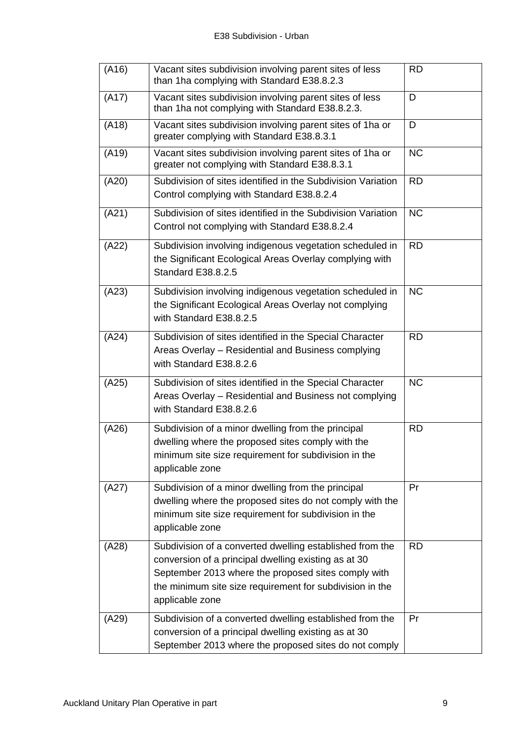| (A16) | Vacant sites subdivision involving parent sites of less<br>than 1ha complying with Standard E38.8.2.3                                                                                                                                                  | RD        |
|-------|--------------------------------------------------------------------------------------------------------------------------------------------------------------------------------------------------------------------------------------------------------|-----------|
| (A17) | Vacant sites subdivision involving parent sites of less<br>than 1ha not complying with Standard E38.8.2.3.                                                                                                                                             | D         |
| (A18) | Vacant sites subdivision involving parent sites of 1ha or<br>greater complying with Standard E38.8.3.1                                                                                                                                                 | D         |
| (A19) | Vacant sites subdivision involving parent sites of 1ha or<br>greater not complying with Standard E38.8.3.1                                                                                                                                             | <b>NC</b> |
| (A20) | Subdivision of sites identified in the Subdivision Variation<br>Control complying with Standard E38.8.2.4                                                                                                                                              | <b>RD</b> |
| (A21) | Subdivision of sites identified in the Subdivision Variation<br>Control not complying with Standard E38.8.2.4                                                                                                                                          | <b>NC</b> |
| (A22) | Subdivision involving indigenous vegetation scheduled in<br>the Significant Ecological Areas Overlay complying with<br><b>Standard E38.8.2.5</b>                                                                                                       | <b>RD</b> |
| (A23) | Subdivision involving indigenous vegetation scheduled in<br>the Significant Ecological Areas Overlay not complying<br>with Standard E38.8.2.5                                                                                                          | <b>NC</b> |
| (A24) | Subdivision of sites identified in the Special Character<br>Areas Overlay - Residential and Business complying<br>with Standard E38.8.2.6                                                                                                              | <b>RD</b> |
| (A25) | Subdivision of sites identified in the Special Character<br>Areas Overlay - Residential and Business not complying<br>with Standard E38.8.2.6                                                                                                          | <b>NC</b> |
| (A26) | Subdivision of a minor dwelling from the principal<br>dwelling where the proposed sites comply with the<br>minimum site size requirement for subdivision in the<br>applicable zone                                                                     | <b>RD</b> |
| (A27) | Subdivision of a minor dwelling from the principal<br>dwelling where the proposed sites do not comply with the<br>minimum site size requirement for subdivision in the<br>applicable zone                                                              | Pr        |
| (A28) | Subdivision of a converted dwelling established from the<br>conversion of a principal dwelling existing as at 30<br>September 2013 where the proposed sites comply with<br>the minimum site size requirement for subdivision in the<br>applicable zone | <b>RD</b> |
| (A29) | Subdivision of a converted dwelling established from the<br>conversion of a principal dwelling existing as at 30<br>September 2013 where the proposed sites do not comply                                                                              | Pr        |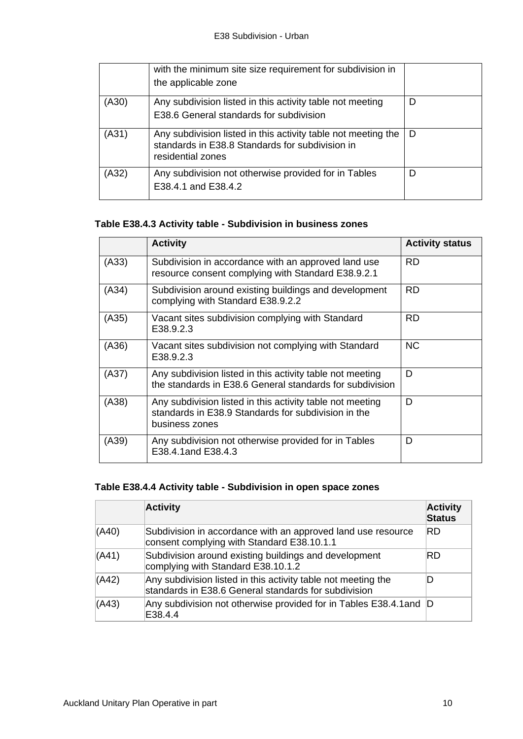|       | with the minimum site size requirement for subdivision in<br>the applicable zone                                                      |   |
|-------|---------------------------------------------------------------------------------------------------------------------------------------|---|
| (A30) | Any subdivision listed in this activity table not meeting<br>E38.6 General standards for subdivision                                  | D |
| (A31) | Any subdivision listed in this activity table not meeting the<br>standards in E38.8 Standards for subdivision in<br>residential zones | D |
| (A32) | Any subdivision not otherwise provided for in Tables<br>E38.4.1 and E38.4.2                                                           | D |

# **Table E38.4.3 Activity table - Subdivision in business zones**

|       | <b>Activity</b>                                                                                                                    | <b>Activity status</b> |
|-------|------------------------------------------------------------------------------------------------------------------------------------|------------------------|
| (A33) | Subdivision in accordance with an approved land use<br>resource consent complying with Standard E38.9.2.1                          | RD.                    |
| (A34) | Subdivision around existing buildings and development<br>complying with Standard E38.9.2.2                                         | <b>RD</b>              |
| (A35) | Vacant sites subdivision complying with Standard<br>E38.9.2.3                                                                      | <b>RD</b>              |
| (A36) | Vacant sites subdivision not complying with Standard<br>E38.9.2.3                                                                  | <b>NC</b>              |
| (A37) | Any subdivision listed in this activity table not meeting<br>the standards in E38.6 General standards for subdivision              | D                      |
| (A38) | Any subdivision listed in this activity table not meeting<br>standards in E38.9 Standards for subdivision in the<br>business zones | D                      |
| (A39) | Any subdivision not otherwise provided for in Tables<br>E38.4.1and E38.4.3                                                         | D                      |

# **Table E38.4.4 Activity table - Subdivision in open space zones**

|       | <b>Activity</b>                                                                                                       | <b>Activity</b><br><b>Status</b> |
|-------|-----------------------------------------------------------------------------------------------------------------------|----------------------------------|
| (A40) | Subdivision in accordance with an approved land use resource<br>consent complying with Standard E38.10.1.1            | IRD                              |
| (A41) | Subdivision around existing buildings and development<br>complying with Standard E38.10.1.2                           | RD                               |
| (A42) | Any subdivision listed in this activity table not meeting the<br>standards in E38.6 General standards for subdivision |                                  |
| (A43) | Any subdivision not otherwise provided for in Tables E38.4.1 and D<br>E38.4.4                                         |                                  |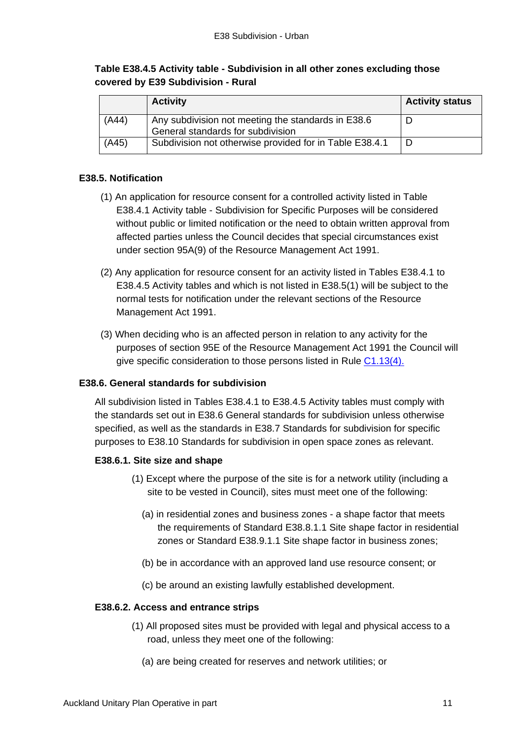## **Table E38.4.5 Activity table - Subdivision in all other zones excluding those covered by E39 Subdivision - Rural**

|       | <b>Activity</b>                                                                         | <b>Activity status</b> |
|-------|-----------------------------------------------------------------------------------------|------------------------|
| (A44) | Any subdivision not meeting the standards in E38.6<br>General standards for subdivision |                        |
| (A45) | Subdivision not otherwise provided for in Table E38.4.1                                 |                        |

## **E38.5. Notification**

- (1) An application for resource consent for a controlled activity listed in Table E38.4.1 Activity table - Subdivision for Specific Purposes will be considered without public or limited notification or the need to obtain written approval from affected parties unless the Council decides that special circumstances exist under section 95A(9) of the Resource Management Act 1991.
- (2) Any application for resource consent for an activity listed in Tables E38.4.1 to E38.4.5 Activity tables and which is not listed in E38.5(1) will be subject to the normal tests for notification under the relevant sections of the Resource Management Act 1991.
- (3) When deciding who is an affected person in relation to any activity for the purposes of section 95E of the Resource Management Act 1991 the Council will give specific consideration to those persons listed in Rule [C1.13\(4\).](http://unitaryplan.aucklandcouncil.govt.nz/Images/Auckland%20Unitary%20Plan%20Operative/Chapter%20C%20General%20Rules/C%20General%20rules.pdf)

### **E38.6. General standards for subdivision**

All subdivision listed in Tables E38.4.1 to E38.4.5 Activity tables must comply with the standards set out in E38.6 General standards for subdivision unless otherwise specified, as well as the standards in E38.7 Standards for subdivision for specific purposes to E38.10 Standards for subdivision in open space zones as relevant.

### **E38.6.1. Site size and shape**

- (1) Except where the purpose of the site is for a network utility (including a site to be vested in Council), sites must meet one of the following:
	- (a) in residential zones and business zones a shape factor that meets the requirements of Standard E38.8.1.1 Site shape factor in residential zones or Standard E38.9.1.1 Site shape factor in business zones;
	- (b) be in accordance with an approved land use resource consent; or
	- (c) be around an existing lawfully established development.

### **E38.6.2. Access and entrance strips**

- (1) All proposed sites must be provided with legal and physical access to a road, unless they meet one of the following:
	- (a) are being created for reserves and network utilities; or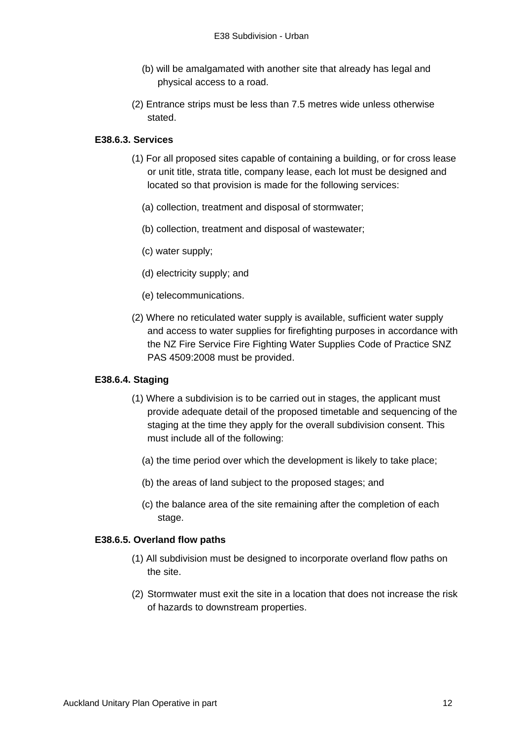- (b) will be amalgamated with another site that already has legal and physical access to a road.
- (2) Entrance strips must be less than 7.5 metres wide unless otherwise stated.

## **E38.6.3. Services**

- (1) For all proposed sites capable of containing a building, or for cross lease or unit title, strata title, company lease, each lot must be designed and located so that provision is made for the following services:
	- (a) collection, treatment and disposal of stormwater;
	- (b) collection, treatment and disposal of wastewater;
	- (c) water supply;
	- (d) electricity supply; and
	- (e) telecommunications.
- (2) Where no reticulated water supply is available, sufficient water supply and access to water supplies for firefighting purposes in accordance with the NZ Fire Service Fire Fighting Water Supplies Code of Practice SNZ PAS 4509:2008 must be provided.

### **E38.6.4. Staging**

- (1) Where a subdivision is to be carried out in stages, the applicant must provide adequate detail of the proposed timetable and sequencing of the staging at the time they apply for the overall subdivision consent. This must include all of the following:
	- (a) the time period over which the development is likely to take place;
	- (b) the areas of land subject to the proposed stages; and
	- (c) the balance area of the site remaining after the completion of each stage.

### **E38.6.5. Overland flow paths**

- (1) All subdivision must be designed to incorporate overland flow paths on the site.
- (2) Stormwater must exit the site in a location that does not increase the risk of hazards to downstream properties.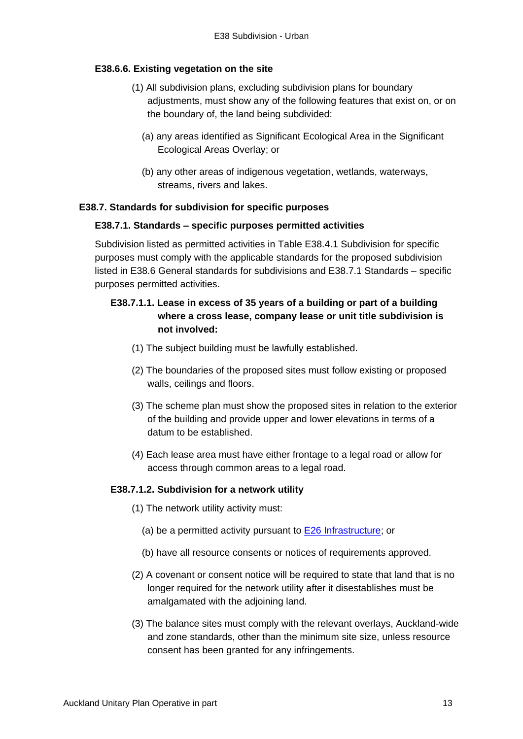## **E38.6.6. Existing vegetation on the site**

- (1) All subdivision plans, excluding subdivision plans for boundary adjustments, must show any of the following features that exist on, or on the boundary of, the land being subdivided:
	- (a) any areas identified as Significant Ecological Area in the Significant Ecological Areas Overlay; or
	- (b) any other areas of indigenous vegetation, wetlands, waterways, streams, rivers and lakes.

## **E38.7. Standards for subdivision for specific purposes**

### **E38.7.1. Standards – specific purposes permitted activities**

Subdivision listed as permitted activities in Table E38.4.1 Subdivision for specific purposes must comply with the applicable standards for the proposed subdivision listed in E38.6 General standards for subdivisions and E38.7.1 Standards – specific purposes permitted activities.

# **E38.7.1.1. Lease in excess of 35 years of a building or part of a building where a cross lease, company lease or unit title subdivision is not involved:**

- (1) The subject building must be lawfully established.
- (2) The boundaries of the proposed sites must follow existing or proposed walls, ceilings and floors.
- (3) The scheme plan must show the proposed sites in relation to the exterior of the building and provide upper and lower elevations in terms of a datum to be established.
- (4) Each lease area must have either frontage to a legal road or allow for access through common areas to a legal road.

### **E38.7.1.2. Subdivision for a network utility**

- (1) The network utility activity must:
	- (a) be a permitted activity pursuant to  $E26$  [Infrastructure;](http://unitaryplan.aucklandcouncil.govt.nz/Images/Auckland%20Unitary%20Plan%20Operative/Chapter%20E%20Auckland-wide/4.%20Infrastructure/E26%20Infrastructure.pdf) or
	- (b) have all resource consents or notices of requirements approved.
- (2) A covenant or consent notice will be required to state that land that is no longer required for the network utility after it disestablishes must be amalgamated with the adjoining land.
- (3) The balance sites must comply with the relevant overlays, Auckland-wide and zone standards, other than the minimum site size, unless resource consent has been granted for any infringements.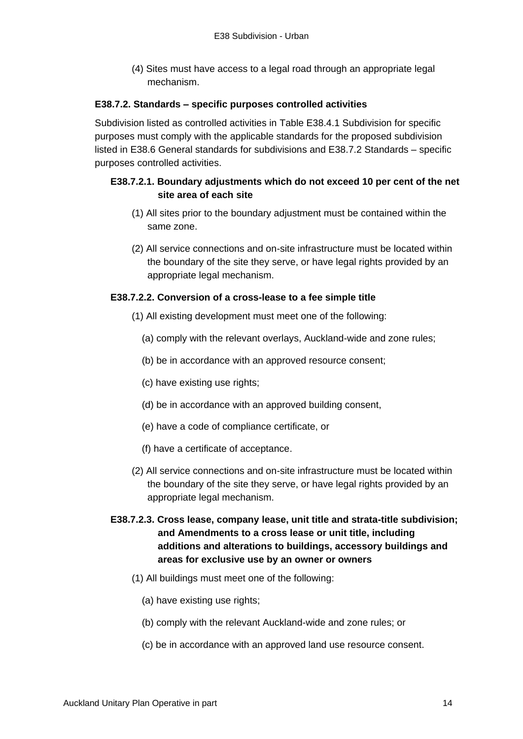(4) Sites must have access to a legal road through an appropriate legal mechanism.

### **E38.7.2. Standards – specific purposes controlled activities**

Subdivision listed as controlled activities in Table E38.4.1 Subdivision for specific purposes must comply with the applicable standards for the proposed subdivision listed in E38.6 General standards for subdivisions and E38.7.2 Standards – specific purposes controlled activities.

## **E38.7.2.1. Boundary adjustments which do not exceed 10 per cent of the net site area of each site**

- (1) All sites prior to the boundary adjustment must be contained within the same zone.
- (2) All service connections and on-site infrastructure must be located within the boundary of the site they serve, or have legal rights provided by an appropriate legal mechanism.

### **E38.7.2.2. Conversion of a cross-lease to a fee simple title**

- (1) All existing development must meet one of the following:
	- (a) comply with the relevant overlays, Auckland-wide and zone rules;
	- (b) be in accordance with an approved resource consent;
	- (c) have existing use rights;
	- (d) be in accordance with an approved building consent,
	- (e) have a code of compliance certificate, or
	- (f) have a certificate of acceptance.
- (2) All service connections and on-site infrastructure must be located within the boundary of the site they serve, or have legal rights provided by an appropriate legal mechanism.
- **E38.7.2.3. Cross lease, company lease, unit title and strata-title subdivision; and Amendments to a cross lease or unit title, including additions and alterations to buildings, accessory buildings and areas for exclusive use by an owner or owners** 
	- (1) All buildings must meet one of the following:
		- (a) have existing use rights;
		- (b) comply with the relevant Auckland-wide and zone rules; or
		- (c) be in accordance with an approved land use resource consent.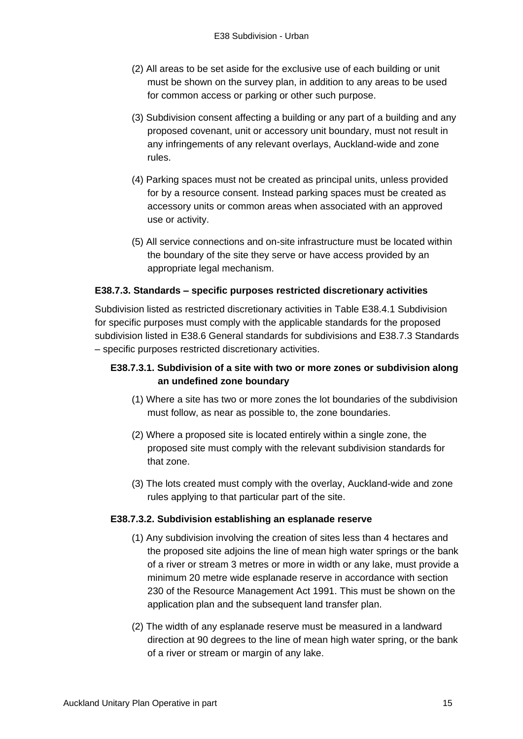- (2) All areas to be set aside for the exclusive use of each building or unit must be shown on the survey plan, in addition to any areas to be used for common access or parking or other such purpose.
- (3) Subdivision consent affecting a building or any part of a building and any proposed covenant, unit or accessory unit boundary, must not result in any infringements of any relevant overlays, Auckland-wide and zone rules.
- (4) Parking spaces must not be created as principal units, unless provided for by a resource consent. Instead parking spaces must be created as accessory units or common areas when associated with an approved use or activity.
- (5) All service connections and on-site infrastructure must be located within the boundary of the site they serve or have access provided by an appropriate legal mechanism.

## **E38.7.3. Standards – specific purposes restricted discretionary activities**

Subdivision listed as restricted discretionary activities in Table E38.4.1 Subdivision for specific purposes must comply with the applicable standards for the proposed subdivision listed in E38.6 General standards for subdivisions and E38.7.3 Standards – specific purposes restricted discretionary activities.

## **E38.7.3.1. Subdivision of a site with two or more zones or subdivision along an undefined zone boundary**

- (1) Where a site has two or more zones the lot boundaries of the subdivision must follow, as near as possible to, the zone boundaries.
- (2) Where a proposed site is located entirely within a single zone, the proposed site must comply with the relevant subdivision standards for that zone.
- (3) The lots created must comply with the overlay, Auckland-wide and zone rules applying to that particular part of the site.

### **E38.7.3.2. Subdivision establishing an esplanade reserve**

- (1) Any subdivision involving the creation of sites less than 4 hectares and the proposed site adjoins the line of mean high water springs or the bank of a river or stream 3 metres or more in width or any lake, must provide a minimum 20 metre wide esplanade reserve in accordance with section 230 of the Resource Management Act 1991. This must be shown on the application plan and the subsequent land transfer plan.
- (2) The width of any esplanade reserve must be measured in a landward direction at 90 degrees to the line of mean high water spring, or the bank of a river or stream or margin of any lake.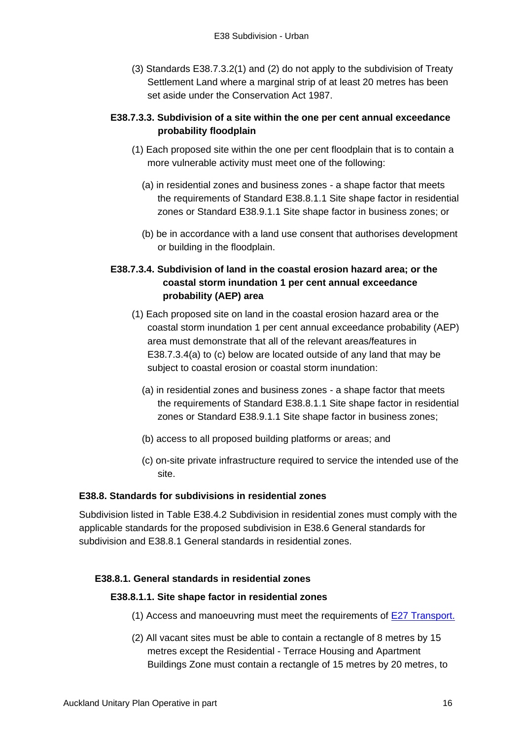(3) Standards E38.7.3.2(1) and (2) do not apply to the subdivision of Treaty Settlement Land where a marginal strip of at least 20 metres has been set aside under the Conservation Act 1987.

## **E38.7.3.3. Subdivision of a site within the one per cent annual exceedance probability floodplain**

- (1) Each proposed site within the one per cent floodplain that is to contain a more vulnerable activity must meet one of the following:
	- (a) in residential zones and business zones a shape factor that meets the requirements of Standard E38.8.1.1 Site shape factor in residential zones or Standard E38.9.1.1 Site shape factor in business zones; or
	- (b) be in accordance with a land use consent that authorises development or building in the floodplain.

# **E38.7.3.4. Subdivision of land in the coastal erosion hazard area; or the coastal storm inundation 1 per cent annual exceedance probability (AEP) area**

- (1) Each proposed site on land in the coastal erosion hazard area or the coastal storm inundation 1 per cent annual exceedance probability (AEP) area must demonstrate that all of the relevant areas/features in E38.7.3.4(a) to (c) below are located outside of any land that may be subject to coastal erosion or coastal storm inundation:
	- (a) in residential zones and business zones a shape factor that meets the requirements of Standard E38.8.1.1 Site shape factor in residential zones or Standard E38.9.1.1 Site shape factor in business zones;
	- (b) access to all proposed building platforms or areas; and
	- (c) on-site private infrastructure required to service the intended use of the site.

## **E38.8. Standards for subdivisions in residential zones**

Subdivision listed in Table E38.4.2 Subdivision in residential zones must comply with the applicable standards for the proposed subdivision in E38.6 General standards for subdivision and E38.8.1 General standards in residential zones.

## **E38.8.1. General standards in residential zones**

### **E38.8.1.1. Site shape factor in residential zones**

- (1) Access and manoeuvring must meet the requirements of [E27 Transport.](http://unitaryplan.aucklandcouncil.govt.nz/Images/Auckland%20Unitary%20Plan%20Operative/Chapter%20E%20Auckland-wide/4.%20Infrastructure/E27%20Transport.pdf)
- (2) All vacant sites must be able to contain a rectangle of 8 metres by 15 metres except the Residential - Terrace Housing and Apartment Buildings Zone must contain a rectangle of 15 metres by 20 metres, to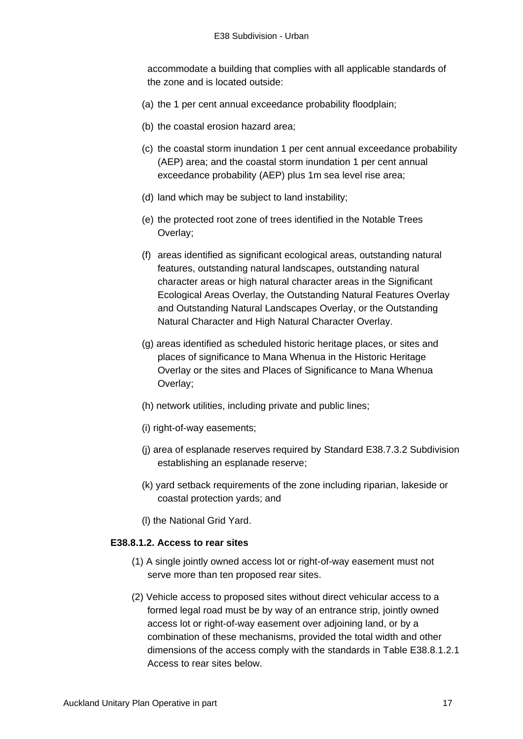accommodate a building that complies with all applicable standards of the zone and is located outside:

- (a) the 1 per cent annual exceedance probability floodplain;
- (b) the coastal erosion hazard area;
- (c) the coastal storm inundation 1 per cent annual exceedance probability (AEP) area; and the coastal storm inundation 1 per cent annual exceedance probability (AEP) plus 1m sea level rise area;
- (d) land which may be subject to land instability;
- (e) the protected root zone of trees identified in the Notable Trees Overlay;
- (f) areas identified as significant ecological areas, outstanding natural features, outstanding natural landscapes, outstanding natural character areas or high natural character areas in the Significant Ecological Areas Overlay, the Outstanding Natural Features Overlay and Outstanding Natural Landscapes Overlay, or the Outstanding Natural Character and High Natural Character Overlay.
- (g) areas identified as scheduled historic heritage places, or sites and places of significance to Mana Whenua in the Historic Heritage Overlay or the sites and Places of Significance to Mana Whenua Overlay;
- (h) network utilities, including private and public lines;
- (i) right-of-way easements;
- (j) area of esplanade reserves required by Standard E38.7.3.2 Subdivision establishing an esplanade reserve;
- (k) yard setback requirements of the zone including riparian, lakeside or coastal protection yards; and
- (l) the National Grid Yard.

### **E38.8.1.2. Access to rear sites**

- (1) A single jointly owned access lot or right-of-way easement must not serve more than ten proposed rear sites.
- (2) Vehicle access to proposed sites without direct vehicular access to a formed legal road must be by way of an entrance strip, jointly owned access lot or right-of-way easement over adjoining land, or by a combination of these mechanisms, provided the total width and other dimensions of the access comply with the standards in Table E38.8.1.2.1 Access to rear sites below.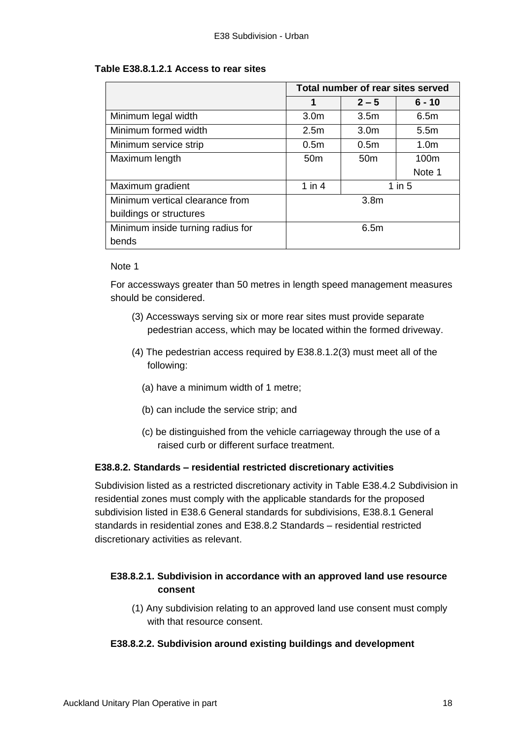## **Table E38.8.1.2.1 Access to rear sites**

|                                   | Total number of rear sites served |                  |                  |
|-----------------------------------|-----------------------------------|------------------|------------------|
|                                   | 1                                 | $2 - 5$          | $6 - 10$         |
| Minimum legal width               | 3.0 <sub>m</sub>                  | 3.5 <sub>m</sub> | 6.5m             |
| Minimum formed width              | 2.5 <sub>m</sub>                  | 3.0 <sub>m</sub> | 5.5 <sub>m</sub> |
| Minimum service strip             | 0.5 <sub>m</sub>                  | 0.5 <sub>m</sub> | 1.0 <sub>m</sub> |
| Maximum length                    | 50 <sub>m</sub>                   | 50 <sub>m</sub>  | 100m             |
|                                   |                                   |                  | Note 1           |
| Maximum gradient                  | $1$ in $4$                        |                  | $1$ in $5$       |
| Minimum vertical clearance from   |                                   | 3.8 <sub>m</sub> |                  |
| buildings or structures           |                                   |                  |                  |
| Minimum inside turning radius for | 6.5m                              |                  |                  |
| bends                             |                                   |                  |                  |

#### Note 1

For accessways greater than 50 metres in length speed management measures should be considered.

- (3) Accessways serving six or more rear sites must provide separate pedestrian access, which may be located within the formed driveway.
- (4) The pedestrian access required by E38.8.1.2(3) must meet all of the following:
	- (a) have a minimum width of 1 metre;
	- (b) can include the service strip; and
	- (c) be distinguished from the vehicle carriageway through the use of a raised curb or different surface treatment.

## **E38.8.2. Standards – residential restricted discretionary activities**

Subdivision listed as a restricted discretionary activity in Table E38.4.2 Subdivision in residential zones must comply with the applicable standards for the proposed subdivision listed in E38.6 General standards for subdivisions, E38.8.1 General standards in residential zones and E38.8.2 Standards – residential restricted discretionary activities as relevant.

# **E38.8.2.1. Subdivision in accordance with an approved land use resource consent**

(1) Any subdivision relating to an approved land use consent must comply with that resource consent.

### **E38.8.2.2. Subdivision around existing buildings and development**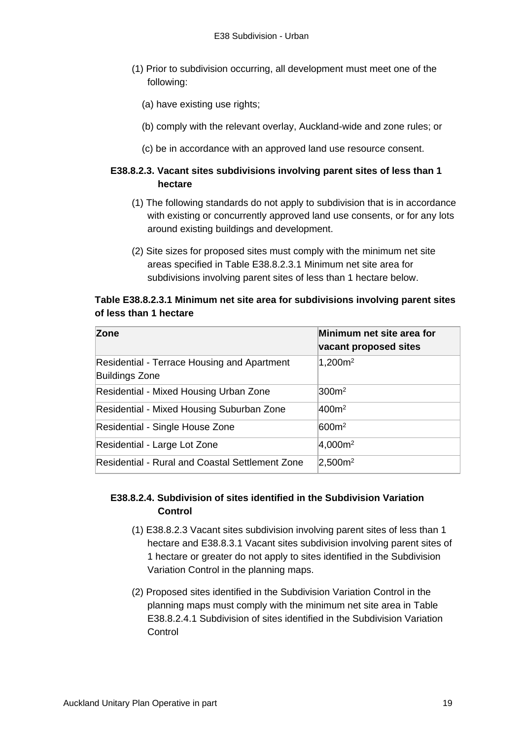- (1) Prior to subdivision occurring, all development must meet one of the following:
	- (a) have existing use rights;
	- (b) comply with the relevant overlay, Auckland-wide and zone rules; or
	- (c) be in accordance with an approved land use resource consent.

# **E38.8.2.3. Vacant sites subdivisions involving parent sites of less than 1 hectare**

- (1) The following standards do not apply to subdivision that is in accordance with existing or concurrently approved land use consents, or for any lots around existing buildings and development.
- (2) Site sizes for proposed sites must comply with the minimum net site areas specified in Table E38.8.2.3.1 Minimum net site area for subdivisions involving parent sites of less than 1 hectare below.

## **Table E38.8.2.3.1 Minimum net site area for subdivisions involving parent sites of less than 1 hectare**

| Zone                                                                 | Minimum net site area for<br>vacant proposed sites |
|----------------------------------------------------------------------|----------------------------------------------------|
| Residential - Terrace Housing and Apartment<br><b>Buildings Zone</b> | $1,200m^2$                                         |
| Residential - Mixed Housing Urban Zone                               | 300m <sup>2</sup>                                  |
| Residential - Mixed Housing Suburban Zone                            | 400m <sup>2</sup>                                  |
| Residential - Single House Zone                                      | 600m <sup>2</sup>                                  |
| Residential - Large Lot Zone                                         | 4,000m <sup>2</sup>                                |
| Residential - Rural and Coastal Settlement Zone                      | 2,500m <sup>2</sup>                                |

# **E38.8.2.4. Subdivision of sites identified in the Subdivision Variation Control**

- (1) E38.8.2.3 Vacant sites subdivision involving parent sites of less than 1 hectare and E38.8.3.1 Vacant sites subdivision involving parent sites of 1 hectare or greater do not apply to sites identified in the Subdivision Variation Control in the planning maps.
- (2) Proposed sites identified in the Subdivision Variation Control in the planning maps must comply with the minimum net site area in Table E38.8.2.4.1 Subdivision of sites identified in the Subdivision Variation Control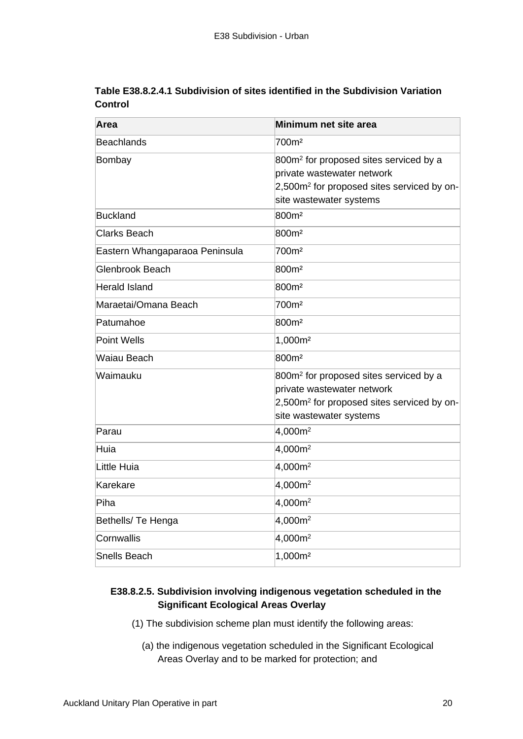| Table E38.8.2.4.1 Subdivision of sites identified in the Subdivision Variation |  |
|--------------------------------------------------------------------------------|--|
| Control                                                                        |  |

| Area                           | Minimum net site area                                                                                                                                                 |
|--------------------------------|-----------------------------------------------------------------------------------------------------------------------------------------------------------------------|
| Beachlands                     | 700m <sup>2</sup>                                                                                                                                                     |
| Bombay                         | 800m <sup>2</sup> for proposed sites serviced by a<br>private wastewater network<br>2,500m <sup>2</sup> for proposed sites serviced by on-<br>site wastewater systems |
| Buckland                       | 800m <sup>2</sup>                                                                                                                                                     |
| Clarks Beach                   | 800m <sup>2</sup>                                                                                                                                                     |
| Eastern Whangaparaoa Peninsula | 700m <sup>2</sup>                                                                                                                                                     |
| Glenbrook Beach                | 800m <sup>2</sup>                                                                                                                                                     |
| <b>Herald Island</b>           | 800m <sup>2</sup>                                                                                                                                                     |
| Maraetai/Omana Beach           | 700m <sup>2</sup>                                                                                                                                                     |
| Patumahoe                      | 800m <sup>2</sup>                                                                                                                                                     |
| Point Wells                    | 1,000m <sup>2</sup>                                                                                                                                                   |
| Waiau Beach                    | 800m <sup>2</sup>                                                                                                                                                     |
| Waimauku                       | 800m <sup>2</sup> for proposed sites serviced by a<br>private wastewater network<br>2,500m <sup>2</sup> for proposed sites serviced by on-<br>site wastewater systems |
| Parau                          | 4,000m <sup>2</sup>                                                                                                                                                   |
| Huia                           | 4,000m <sup>2</sup>                                                                                                                                                   |
| Little Huia                    | 4,000m <sup>2</sup>                                                                                                                                                   |
| Karekare                       | 4,000m <sup>2</sup>                                                                                                                                                   |
| Piha                           | 4,000m <sup>2</sup>                                                                                                                                                   |
| Bethells/ Te Henga             | 4,000m <sup>2</sup>                                                                                                                                                   |
| Cornwallis                     | 4,000m <sup>2</sup>                                                                                                                                                   |
| Snells Beach                   | 1,000m <sup>2</sup>                                                                                                                                                   |

# **E38.8.2.5. Subdivision involving indigenous vegetation scheduled in the Significant Ecological Areas Overlay**

- (1) The subdivision scheme plan must identify the following areas:
	- (a) the indigenous vegetation scheduled in the Significant Ecological Areas Overlay and to be marked for protection; and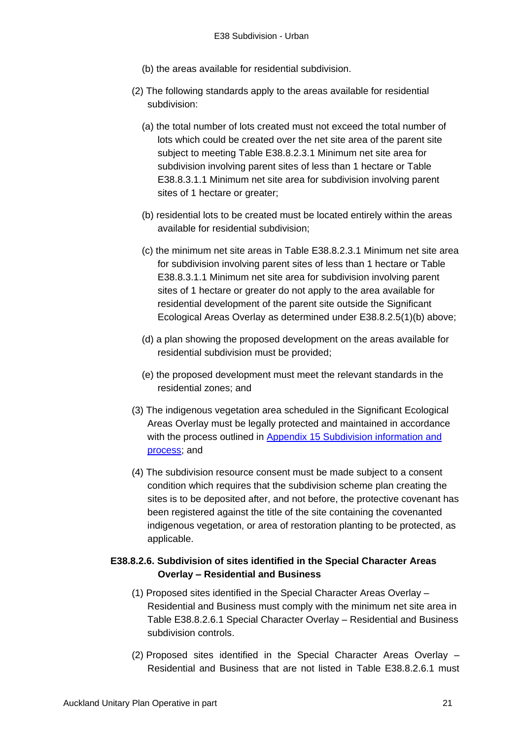- (b) the areas available for residential subdivision.
- (2) The following standards apply to the areas available for residential subdivision:
	- (a) the total number of lots created must not exceed the total number of lots which could be created over the net site area of the parent site subject to meeting Table E38.8.2.3.1 Minimum net site area for subdivision involving parent sites of less than 1 hectare or Table E38.8.3.1.1 Minimum net site area for subdivision involving parent sites of 1 hectare or greater;
	- (b) residential lots to be created must be located entirely within the areas available for residential subdivision;
	- (c) the minimum net site areas in Table E38.8.2.3.1 Minimum net site area for subdivision involving parent sites of less than 1 hectare or Table E38.8.3.1.1 Minimum net site area for subdivision involving parent sites of 1 hectare or greater do not apply to the area available for residential development of the parent site outside the Significant Ecological Areas Overlay as determined under E38.8.2.5(1)(b) above;
	- (d) a plan showing the proposed development on the areas available for residential subdivision must be provided;
	- (e) the proposed development must meet the relevant standards in the residential zones; and
- (3) The indigenous vegetation area scheduled in the Significant Ecological Areas Overlay must be legally protected and maintained in accordance with the process outlined in Appendix 15 Subdivision information and [process;](http://unitaryplan.aucklandcouncil.govt.nz/Images/Auckland%20Unitary%20Plan%20Operative/Chapter%20M%20Appendices/Appendix%2015%20Subdivision%20information%20and%20process.pdf) and
- (4) The subdivision resource consent must be made subject to a consent condition which requires that the subdivision scheme plan creating the sites is to be deposited after, and not before, the protective covenant has been registered against the title of the site containing the covenanted indigenous vegetation, or area of restoration planting to be protected, as applicable.

## **E38.8.2.6. Subdivision of sites identified in the Special Character Areas Overlay – Residential and Business**

- (1) Proposed sites identified in the Special Character Areas Overlay Residential and Business must comply with the minimum net site area in Table E38.8.2.6.1 Special Character Overlay – Residential and Business subdivision controls.
- (2) Proposed sites identified in the Special Character Areas Overlay Residential and Business that are not listed in Table E38.8.2.6.1 must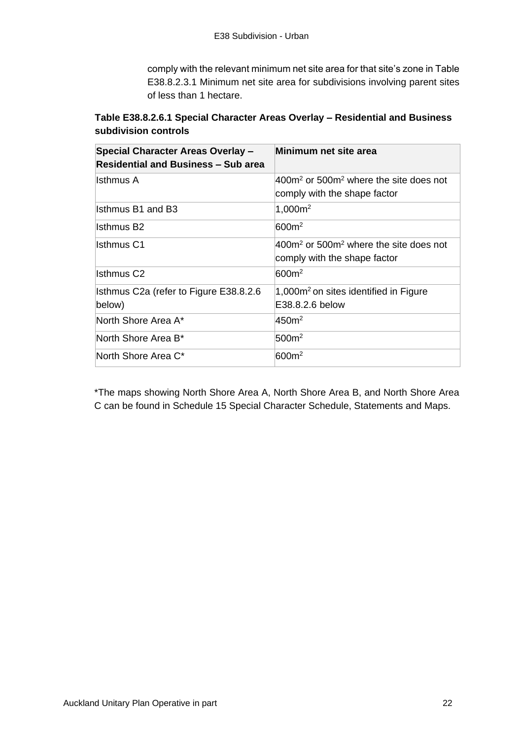comply with the relevant minimum net site area for that site's zone in Table E38.8.2.3.1 Minimum net site area for subdivisions involving parent sites of less than 1 hectare.

# **Table E38.8.2.6.1 Special Character Areas Overlay – Residential and Business subdivision controls**

| <b>Special Character Areas Overlay -</b><br><b>Residential and Business – Sub area</b> | Minimum net site area                                                       |
|----------------------------------------------------------------------------------------|-----------------------------------------------------------------------------|
| lsthmus A                                                                              | $400m2$ or 500 $m2$ where the site does not<br>comply with the shape factor |
| Isthmus B1 and B3                                                                      | $1,000m^2$                                                                  |
| lsthmus B2                                                                             | 600m <sup>2</sup>                                                           |
| Isthmus C1                                                                             | $400m²$ or 500 $m²$ where the site does not<br>comply with the shape factor |
| Isthmus C2                                                                             | 600m <sup>2</sup>                                                           |
| Isthmus C2a (refer to Figure E38.8.2.6<br>below)                                       | $1,000m2$ on sites identified in Figure<br>E38.8.2.6 below                  |
| North Shore Area A*                                                                    | 450 <sup>m²</sup>                                                           |
| North Shore Area B*                                                                    | 500 <sup>m²</sup>                                                           |
| North Shore Area C*                                                                    | 600m <sup>2</sup>                                                           |

\*The maps showing North Shore Area A, North Shore Area B, and North Shore Area C can be found in Schedule 15 Special Character Schedule, Statements and Maps.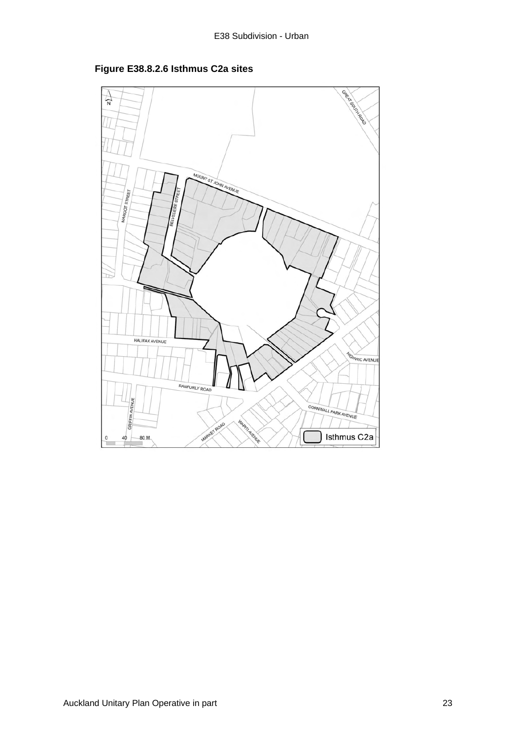

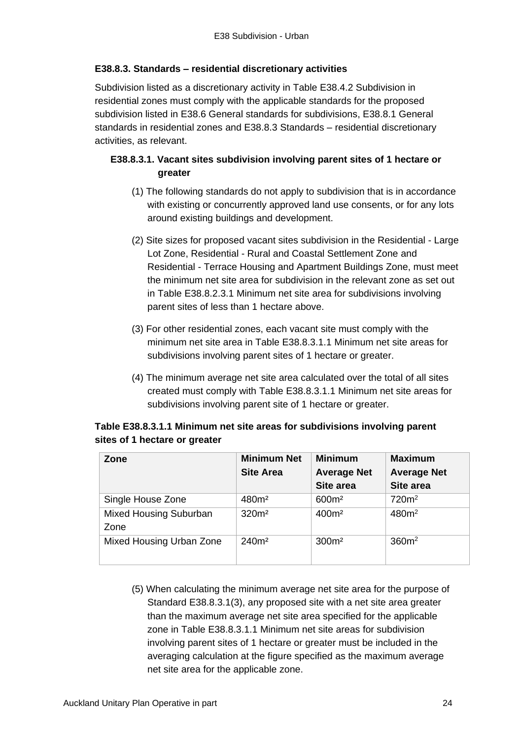## **E38.8.3. Standards – residential discretionary activities**

Subdivision listed as a discretionary activity in Table E38.4.2 Subdivision in residential zones must comply with the applicable standards for the proposed subdivision listed in E38.6 General standards for subdivisions, E38.8.1 General standards in residential zones and E38.8.3 Standards – residential discretionary activities, as relevant.

# **E38.8.3.1. Vacant sites subdivision involving parent sites of 1 hectare or greater**

- (1) The following standards do not apply to subdivision that is in accordance with existing or concurrently approved land use consents, or for any lots around existing buildings and development.
- (2) Site sizes for proposed vacant sites subdivision in the Residential Large Lot Zone, Residential - Rural and Coastal Settlement Zone and Residential - Terrace Housing and Apartment Buildings Zone, must meet the minimum net site area for subdivision in the relevant zone as set out in Table E38.8.2.3.1 Minimum net site area for subdivisions involving parent sites of less than 1 hectare above.
- (3) For other residential zones, each vacant site must comply with the minimum net site area in Table E38.8.3.1.1 Minimum net site areas for subdivisions involving parent sites of 1 hectare or greater.
- (4) The minimum average net site area calculated over the total of all sites created must comply with Table E38.8.3.1.1 Minimum net site areas for subdivisions involving parent site of 1 hectare or greater.

| Zone                                  | <b>Minimum Net</b><br><b>Site Area</b> | <b>Minimum</b><br><b>Average Net</b><br>Site area | <b>Maximum</b><br><b>Average Net</b><br>Site area |
|---------------------------------------|----------------------------------------|---------------------------------------------------|---------------------------------------------------|
| Single House Zone                     | 480m <sup>2</sup>                      | 600m <sup>2</sup>                                 | 720m <sup>2</sup>                                 |
| <b>Mixed Housing Suburban</b><br>Zone | 320 <sup>m²</sup>                      | 400m <sup>2</sup>                                 | 480m <sup>2</sup>                                 |
| Mixed Housing Urban Zone              | 240 <sup>m²</sup>                      | 300 <sup>m²</sup>                                 | 360 <sup>m²</sup>                                 |

| Table E38.8.3.1.1 Minimum net site areas for subdivisions involving parent |  |  |  |
|----------------------------------------------------------------------------|--|--|--|
| sites of 1 hectare or greater                                              |  |  |  |

(5) When calculating the minimum average net site area for the purpose of Standard E38.8.3.1(3), any proposed site with a net site area greater than the maximum average net site area specified for the applicable zone in Table E38.8.3.1.1 Minimum net site areas for subdivision involving parent sites of 1 hectare or greater must be included in the averaging calculation at the figure specified as the maximum average net site area for the applicable zone.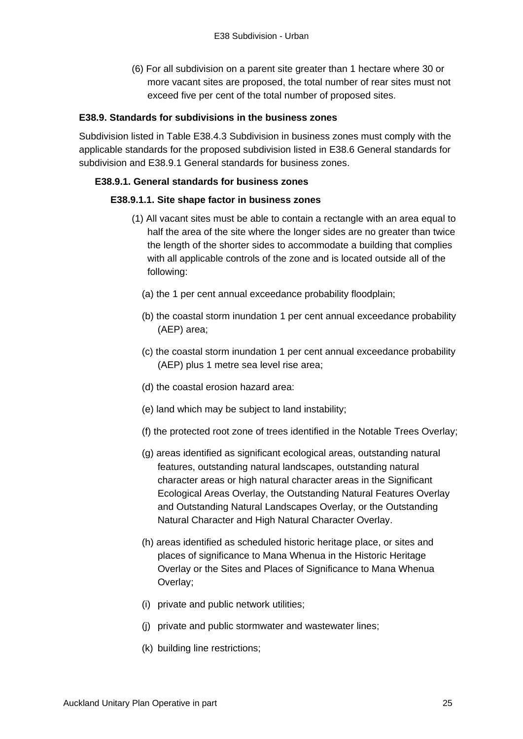(6) For all subdivision on a parent site greater than 1 hectare where 30 or more vacant sites are proposed, the total number of rear sites must not exceed five per cent of the total number of proposed sites.

### **E38.9. Standards for subdivisions in the business zones**

Subdivision listed in Table E38.4.3 Subdivision in business zones must comply with the applicable standards for the proposed subdivision listed in E38.6 General standards for subdivision and E38.9.1 General standards for business zones.

#### **E38.9.1. General standards for business zones**

#### **E38.9.1.1. Site shape factor in business zones**

- (1) All vacant sites must be able to contain a rectangle with an area equal to half the area of the site where the longer sides are no greater than twice the length of the shorter sides to accommodate a building that complies with all applicable controls of the zone and is located outside all of the following:
	- (a) the 1 per cent annual exceedance probability floodplain;
	- (b) the coastal storm inundation 1 per cent annual exceedance probability (AEP) area;
	- (c) the coastal storm inundation 1 per cent annual exceedance probability (AEP) plus 1 metre sea level rise area;
	- (d) the coastal erosion hazard area:
	- (e) land which may be subject to land instability;
	- (f) the protected root zone of trees identified in the Notable Trees Overlay;
	- (g) areas identified as significant ecological areas, outstanding natural features, outstanding natural landscapes, outstanding natural character areas or high natural character areas in the Significant Ecological Areas Overlay, the Outstanding Natural Features Overlay and Outstanding Natural Landscapes Overlay, or the Outstanding Natural Character and High Natural Character Overlay.
	- (h) areas identified as scheduled historic heritage place, or sites and places of significance to Mana Whenua in the Historic Heritage Overlay or the Sites and Places of Significance to Mana Whenua Overlay;
	- (i) private and public network utilities;
	- (j) private and public stormwater and wastewater lines;
	- (k) building line restrictions;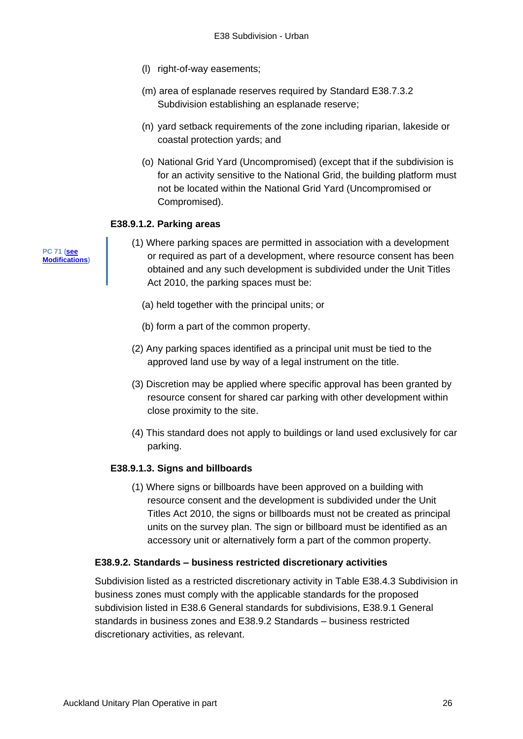- (l) right-of-way easements;
- (m) area of esplanade reserves required by Standard E38.7.3.2 Subdivision establishing an esplanade reserve;
- (n) yard setback requirements of the zone including riparian, lakeside or coastal protection yards; and
- (o) National Grid Yard (Uncompromised) (except that if the subdivision is for an activity sensitive to the National Grid, the building platform must not be located within the National Grid Yard (Uncompromised or Compromised).

### **E38.9.1.2. Parking areas**

- (1) Where parking spaces are permitted in association with a development or required as part of a development, where resource consent has been obtained and any such development is subdivided under the Unit Titles Act 2010, the parking spaces must be:
	- (a) held together with the principal units; or
	- (b) form a part of the common property.
- (2) Any parking spaces identified as a principal unit must be tied to the approved land use by way of a legal instrument on the title.
- (3) Discretion may be applied where specific approval has been granted by resource consent for shared car parking with other development within close proximity to the site.
- (4) This standard does not apply to buildings or land used exclusively for car parking.

### **E38.9.1.3. Signs and billboards**

(1) Where signs or billboards have been approved on a building with resource consent and the development is subdivided under the Unit Titles Act 2010, the signs or billboards must not be created as principal units on the survey plan. The sign or billboard must be identified as an accessory unit or alternatively form a part of the common property.

#### **E38.9.2. Standards – business restricted discretionary activities**

Subdivision listed as a restricted discretionary activity in Table E38.4.3 Subdivision in business zones must comply with the applicable standards for the proposed subdivision listed in E38.6 General standards for subdivisions, E38.9.1 General standards in business zones and E38.9.2 Standards – business restricted discretionary activities, as relevant.

**PC 71 [\(see](https://www.aucklandcouncil.govt.nz/plans-projects-policies-reports-bylaws/our-plans-strategies/unitary-plan/auckland-unitary-plan-modifications/Pages/details.aspx?UnitaryPlanId=124) [Modifications\)](https://www.aucklandcouncil.govt.nz/plans-projects-policies-reports-bylaws/our-plans-strategies/unitary-plan/auckland-unitary-plan-modifications/Pages/details.aspx?UnitaryPlanId=124)**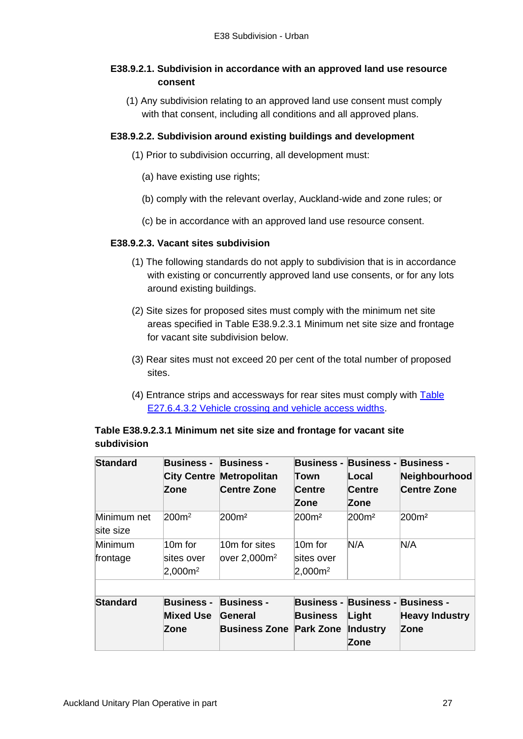## **E38.9.2.1. Subdivision in accordance with an approved land use resource consent**

(1) Any subdivision relating to an approved land use consent must comply with that consent, including all conditions and all approved plans.

## **E38.9.2.2. Subdivision around existing buildings and development**

- (1) Prior to subdivision occurring, all development must:
	- (a) have existing use rights;
	- (b) comply with the relevant overlay, Auckland-wide and zone rules; or
	- (c) be in accordance with an approved land use resource consent.

### **E38.9.2.3. Vacant sites subdivision**

- (1) The following standards do not apply to subdivision that is in accordance with existing or concurrently approved land use consents, or for any lots around existing buildings.
- (2) Site sizes for proposed sites must comply with the minimum net site areas specified in Table E38.9.2.3.1 Minimum net site size and frontage for vacant site subdivision below.
- (3) Rear sites must not exceed 20 per cent of the total number of proposed sites.
- (4) Entrance strips and accessways for rear sites must comply with [Table](http://unitaryplan.aucklandcouncil.govt.nz/Images/Auckland%20Unitary%20Plan%20Operative/Chapter%20E%20Auckland-wide/4.%20Infrastructure/E27%20Transport.pdf)  [E27.6.4.3.2 Vehicle crossing and vehicle access widths.](http://unitaryplan.aucklandcouncil.govt.nz/Images/Auckland%20Unitary%20Plan%20Operative/Chapter%20E%20Auckland-wide/4.%20Infrastructure/E27%20Transport.pdf)

# **Table E38.9.2.3.1 Minimum net site size and frontage for vacant site subdivision**

| <b>Standard</b> | <b>Business -</b>   | <b>Business -</b>              |                              | <b>Business - Business - Business -</b> |                       |
|-----------------|---------------------|--------------------------------|------------------------------|-----------------------------------------|-----------------------|
|                 | <b>City Centre</b>  | <b>Metropolitan</b>            | Town                         | Local                                   | Neighbourhood         |
|                 | Zone                | <b>Centre Zone</b>             | Centre                       | Centre                                  | <b>Centre Zone</b>    |
|                 |                     |                                | Zone                         | Zone                                    |                       |
| Minimum net     | 200 <sup>m²</sup>   | 200m <sup>2</sup>              | 200 <sub>m<sup>2</sup></sub> | 200 <sup>m²</sup>                       | 200m <sup>2</sup>     |
| site size       |                     |                                |                              |                                         |                       |
| Minimum         | $10m$ for           | 10 <sub>m</sub> for sites      | $10m$ for                    | N/A                                     | N/A                   |
| frontage        | sites over          | over 2.000 <sup>2</sup>        | sites over                   |                                         |                       |
|                 | 2,000m <sup>2</sup> |                                | $2,000m^2$                   |                                         |                       |
|                 |                     |                                |                              |                                         |                       |
| <b>Standard</b> | <b>Business -</b>   | <b>Business -</b>              |                              | <b>Business - Business - Business -</b> |                       |
|                 | <b>Mixed Use</b>    | General                        | <b>Business</b>              | Light                                   | <b>Heavy Industry</b> |
|                 | Zone                | <b>Business Zone Park Zone</b> |                              | <b>Industry</b>                         | Zone                  |
|                 |                     |                                |                              | Zone                                    |                       |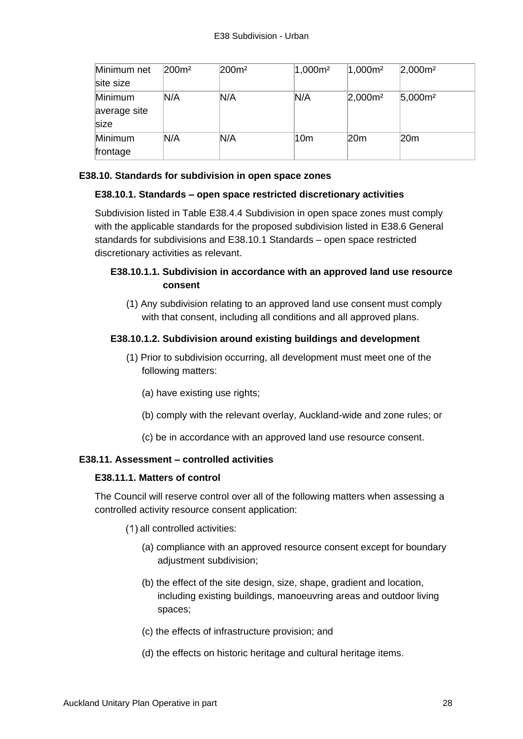| Minimum net  | 200 <sup>m²</sup> | 200m <sup>2</sup> | $1,000m^2$      | $1,000m^2$ | 2,000m <sup>2</sup> |
|--------------|-------------------|-------------------|-----------------|------------|---------------------|
| site size    |                   |                   |                 |            |                     |
| Minimum      | N/A               | N/A               | N/A             | $2,000m^2$ | $5,000m^2$          |
| average site |                   |                   |                 |            |                     |
| size         |                   |                   |                 |            |                     |
| Minimum      | N/A               | N/A               | 10 <sub>m</sub> | 20m        | 20m                 |
| frontage     |                   |                   |                 |            |                     |

## **E38.10. Standards for subdivision in open space zones**

## **E38.10.1. Standards – open space restricted discretionary activities**

Subdivision listed in Table E38.4.4 Subdivision in open space zones must comply with the applicable standards for the proposed subdivision listed in E38.6 General standards for subdivisions and E38.10.1 Standards – open space restricted discretionary activities as relevant.

# **E38.10.1.1. Subdivision in accordance with an approved land use resource consent**

(1) Any subdivision relating to an approved land use consent must comply with that consent, including all conditions and all approved plans.

## **E38.10.1.2. Subdivision around existing buildings and development**

- (1) Prior to subdivision occurring, all development must meet one of the following matters:
	- (a) have existing use rights;
	- (b) comply with the relevant overlay, Auckland-wide and zone rules; or
	- (c) be in accordance with an approved land use resource consent.

## **E38.11. Assessment – controlled activities**

### **E38.11.1. Matters of control**

The Council will reserve control over all of the following matters when assessing a controlled activity resource consent application:

- (1) all controlled activities:
	- (a) compliance with an approved resource consent except for boundary adjustment subdivision;
	- (b) the effect of the site design, size, shape, gradient and location, including existing buildings, manoeuvring areas and outdoor living spaces;
	- (c) the effects of infrastructure provision; and
	- (d) the effects on historic heritage and cultural heritage items.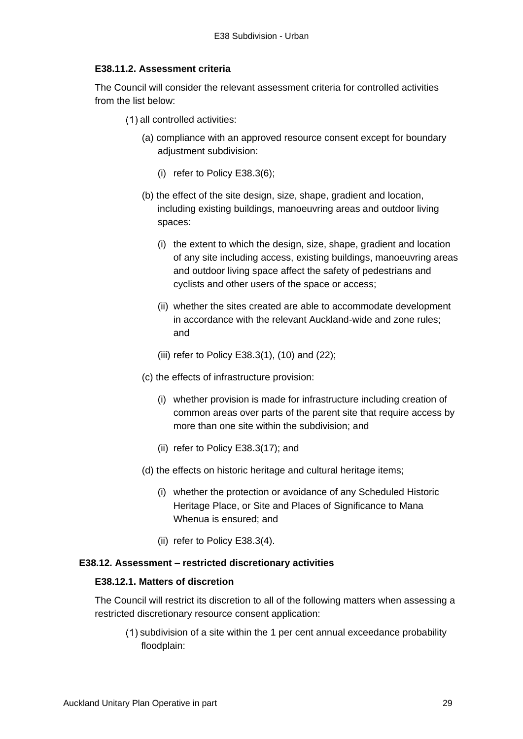### **E38.11.2. Assessment criteria**

The Council will consider the relevant assessment criteria for controlled activities from the list below:

- (1) all controlled activities:
	- (a) compliance with an approved resource consent except for boundary adjustment subdivision:
		- (i) refer to Policy E38.3(6);
	- (b) the effect of the site design, size, shape, gradient and location, including existing buildings, manoeuvring areas and outdoor living spaces:
		- (i) the extent to which the design, size, shape, gradient and location of any site including access, existing buildings, manoeuvring areas and outdoor living space affect the safety of pedestrians and cyclists and other users of the space or access;
		- (ii) whether the sites created are able to accommodate development in accordance with the relevant Auckland-wide and zone rules; and
		- (iii) refer to Policy E38.3(1), (10) and (22);
	- (c) the effects of infrastructure provision:
		- (i) whether provision is made for infrastructure including creation of common areas over parts of the parent site that require access by more than one site within the subdivision; and
		- (ii) refer to Policy E38.3(17); and
	- (d) the effects on historic heritage and cultural heritage items;
		- (i) whether the protection or avoidance of any Scheduled Historic Heritage Place, or Site and Places of Significance to Mana Whenua is ensured; and
		- (ii) refer to Policy E38.3(4).

### **E38.12. Assessment – restricted discretionary activities**

#### **E38.12.1. Matters of discretion**

The Council will restrict its discretion to all of the following matters when assessing a restricted discretionary resource consent application:

 $(1)$  subdivision of a site within the 1 per cent annual exceedance probability floodplain: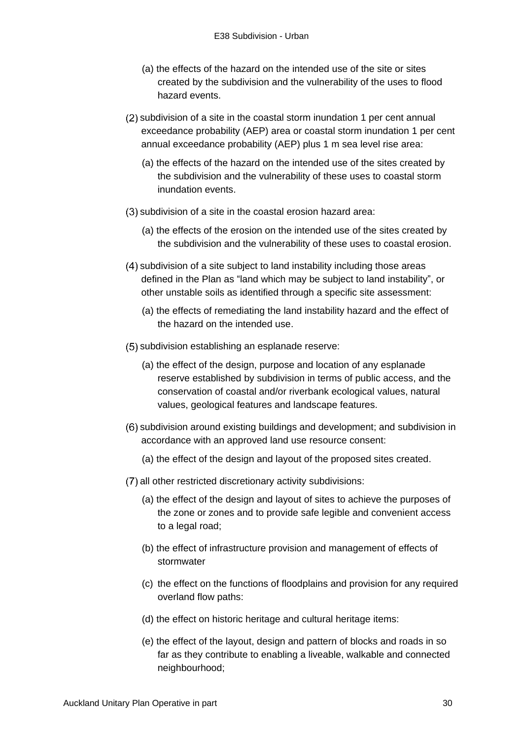- (a) the effects of the hazard on the intended use of the site or sites created by the subdivision and the vulnerability of the uses to flood hazard events.
- (2) subdivision of a site in the coastal storm inundation 1 per cent annual exceedance probability (AEP) area or coastal storm inundation 1 per cent annual exceedance probability (AEP) plus 1 m sea level rise area:
	- (a) the effects of the hazard on the intended use of the sites created by the subdivision and the vulnerability of these uses to coastal storm inundation events.
- (3) subdivision of a site in the coastal erosion hazard area:
	- (a) the effects of the erosion on the intended use of the sites created by the subdivision and the vulnerability of these uses to coastal erosion.
- subdivision of a site subject to land instability including those areas defined in the Plan as "land which may be subject to land instability", or other unstable soils as identified through a specific site assessment:
	- (a) the effects of remediating the land instability hazard and the effect of the hazard on the intended use.
- (5) subdivision establishing an esplanade reserve:
	- (a) the effect of the design, purpose and location of any esplanade reserve established by subdivision in terms of public access, and the conservation of coastal and/or riverbank ecological values, natural values, geological features and landscape features.
- (6) subdivision around existing buildings and development; and subdivision in accordance with an approved land use resource consent:
	- (a) the effect of the design and layout of the proposed sites created.
- (7) all other restricted discretionary activity subdivisions:
	- (a) the effect of the design and layout of sites to achieve the purposes of the zone or zones and to provide safe legible and convenient access to a legal road;
	- (b) the effect of infrastructure provision and management of effects of stormwater
	- (c) the effect on the functions of floodplains and provision for any required overland flow paths:
	- (d) the effect on historic heritage and cultural heritage items:
	- (e) the effect of the layout, design and pattern of blocks and roads in so far as they contribute to enabling a liveable, walkable and connected neighbourhood;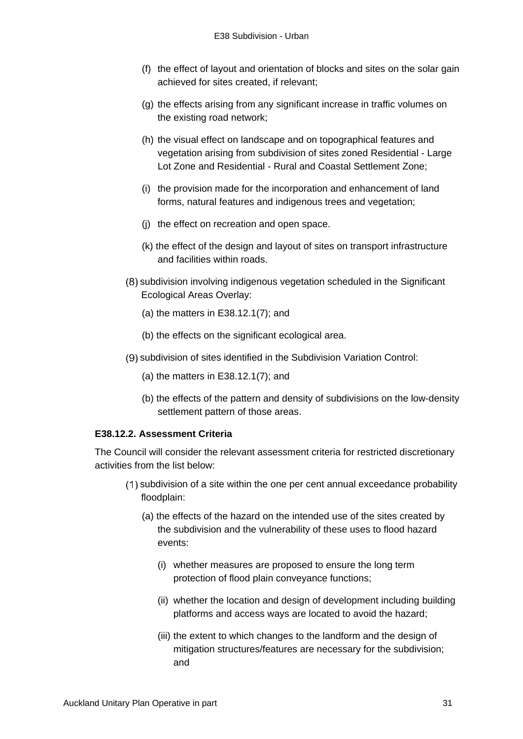- (f) the effect of layout and orientation of blocks and sites on the solar gain achieved for sites created, if relevant;
- (g) the effects arising from any significant increase in traffic volumes on the existing road network;
- (h) the visual effect on landscape and on topographical features and vegetation arising from subdivision of sites zoned Residential - Large Lot Zone and Residential - Rural and Coastal Settlement Zone;
- (i) the provision made for the incorporation and enhancement of land forms, natural features and indigenous trees and vegetation;
- (j) the effect on recreation and open space.
- (k) the effect of the design and layout of sites on transport infrastructure and facilities within roads.
- (8) subdivision involving indigenous vegetation scheduled in the Significant Ecological Areas Overlay:
	- (a) the matters in E38.12.1(7); and
	- (b) the effects on the significant ecological area.
- (9) subdivision of sites identified in the Subdivision Variation Control:
	- (a) the matters in E38.12.1(7); and
	- (b) the effects of the pattern and density of subdivisions on the low-density settlement pattern of those areas.

## **E38.12.2. Assessment Criteria**

The Council will consider the relevant assessment criteria for restricted discretionary activities from the list below:

- (1) subdivision of a site within the one per cent annual exceedance probability floodplain:
	- (a) the effects of the hazard on the intended use of the sites created by the subdivision and the vulnerability of these uses to flood hazard events:
		- (i) whether measures are proposed to ensure the long term protection of flood plain conveyance functions;
		- (ii) whether the location and design of development including building platforms and access ways are located to avoid the hazard;
		- (iii) the extent to which changes to the landform and the design of mitigation structures/features are necessary for the subdivision; and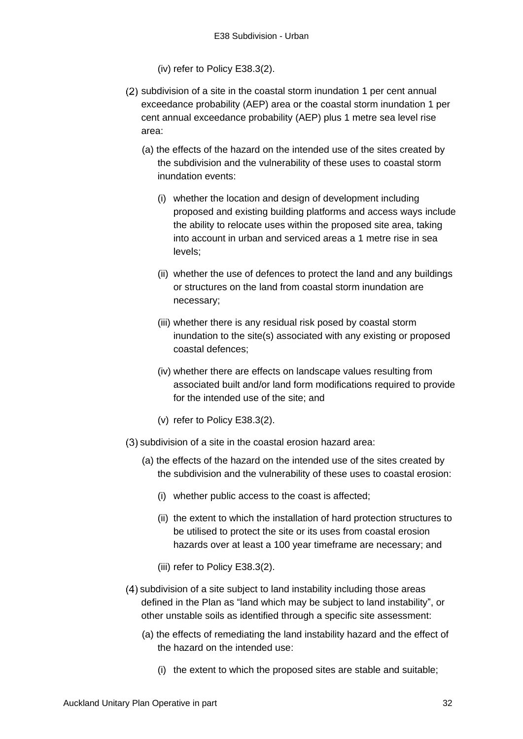- (iv) refer to Policy E38.3(2).
- (2) subdivision of a site in the coastal storm inundation 1 per cent annual exceedance probability (AEP) area or the coastal storm inundation 1 per cent annual exceedance probability (AEP) plus 1 metre sea level rise area:
	- (a) the effects of the hazard on the intended use of the sites created by the subdivision and the vulnerability of these uses to coastal storm inundation events:
		- (i) whether the location and design of development including proposed and existing building platforms and access ways include the ability to relocate uses within the proposed site area, taking into account in urban and serviced areas a 1 metre rise in sea levels;
		- (ii) whether the use of defences to protect the land and any buildings or structures on the land from coastal storm inundation are necessary;
		- (iii) whether there is any residual risk posed by coastal storm inundation to the site(s) associated with any existing or proposed coastal defences;
		- (iv) whether there are effects on landscape values resulting from associated built and/or land form modifications required to provide for the intended use of the site; and
		- (v) refer to Policy E38.3(2).
- (3) subdivision of a site in the coastal erosion hazard area:
	- (a) the effects of the hazard on the intended use of the sites created by the subdivision and the vulnerability of these uses to coastal erosion:
		- (i) whether public access to the coast is affected;
		- (ii) the extent to which the installation of hard protection structures to be utilised to protect the site or its uses from coastal erosion hazards over at least a 100 year timeframe are necessary; and
		- (iii) refer to Policy E38.3(2).
- subdivision of a site subject to land instability including those areas defined in the Plan as "land which may be subject to land instability", or other unstable soils as identified through a specific site assessment:
	- (a) the effects of remediating the land instability hazard and the effect of the hazard on the intended use:
		- (i) the extent to which the proposed sites are stable and suitable;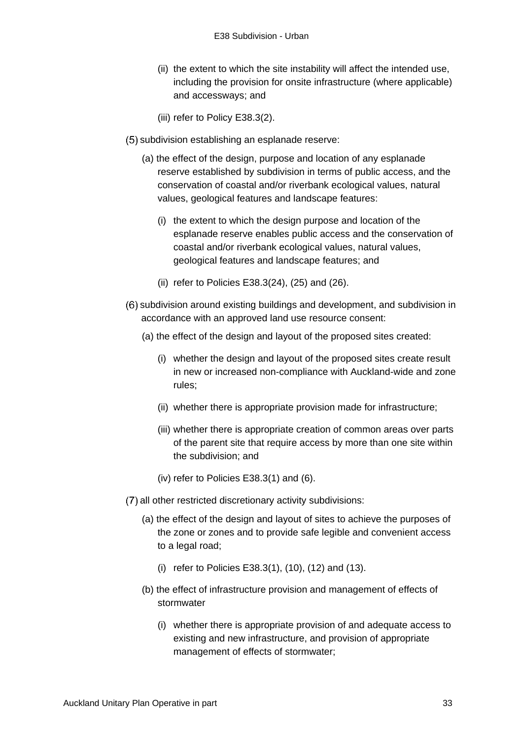- (ii) the extent to which the site instability will affect the intended use, including the provision for onsite infrastructure (where applicable) and accessways; and
- (iii) refer to Policy E38.3(2).
- (5) subdivision establishing an esplanade reserve:
	- (a) the effect of the design, purpose and location of any esplanade reserve established by subdivision in terms of public access, and the conservation of coastal and/or riverbank ecological values, natural values, geological features and landscape features:
		- (i) the extent to which the design purpose and location of the esplanade reserve enables public access and the conservation of coastal and/or riverbank ecological values, natural values, geological features and landscape features; and
		- (ii) refer to Policies E38.3(24), (25) and (26).
- (6) subdivision around existing buildings and development, and subdivision in accordance with an approved land use resource consent:
	- (a) the effect of the design and layout of the proposed sites created:
		- (i) whether the design and layout of the proposed sites create result in new or increased non-compliance with Auckland-wide and zone rules;
		- (ii) whether there is appropriate provision made for infrastructure;
		- (iii) whether there is appropriate creation of common areas over parts of the parent site that require access by more than one site within the subdivision; and
		- (iv) refer to Policies E38.3(1) and (6).
- (7) all other restricted discretionary activity subdivisions:
	- (a) the effect of the design and layout of sites to achieve the purposes of the zone or zones and to provide safe legible and convenient access to a legal road;
		- (i) refer to Policies E38.3(1), (10), (12) and (13).
	- (b) the effect of infrastructure provision and management of effects of stormwater
		- (i) whether there is appropriate provision of and adequate access to existing and new infrastructure, and provision of appropriate management of effects of stormwater;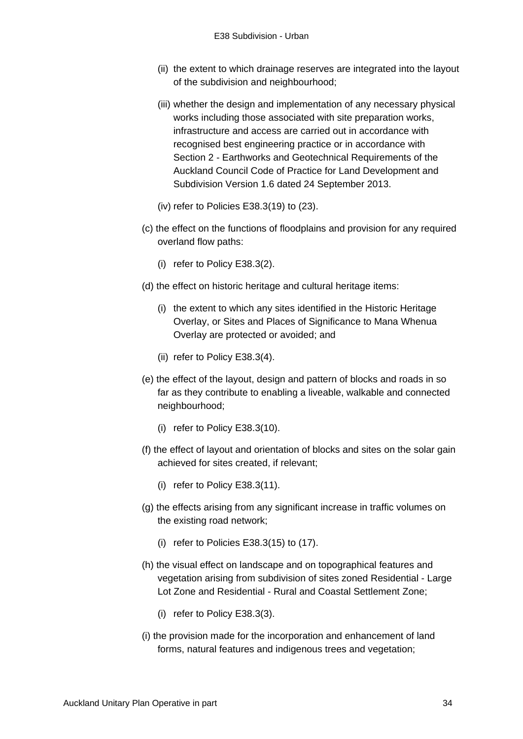- (ii) the extent to which drainage reserves are integrated into the layout of the subdivision and neighbourhood;
- (iii) whether the design and implementation of any necessary physical works including those associated with site preparation works, infrastructure and access are carried out in accordance with recognised best engineering practice or in accordance with Section 2 - Earthworks and Geotechnical Requirements of the Auckland Council Code of Practice for Land Development and Subdivision Version 1.6 dated 24 September 2013.
- (iv) refer to Policies E38.3(19) to (23).
- (c) the effect on the functions of floodplains and provision for any required overland flow paths:
	- (i) refer to Policy E38.3(2).
- (d) the effect on historic heritage and cultural heritage items:
	- (i) the extent to which any sites identified in the Historic Heritage Overlay, or Sites and Places of Significance to Mana Whenua Overlay are protected or avoided; and
	- (ii) refer to Policy E38.3(4).
- (e) the effect of the layout, design and pattern of blocks and roads in so far as they contribute to enabling a liveable, walkable and connected neighbourhood;
	- (i) refer to Policy E38.3(10).
- (f) the effect of layout and orientation of blocks and sites on the solar gain achieved for sites created, if relevant;
	- (i) refer to Policy E38.3(11).
- (g) the effects arising from any significant increase in traffic volumes on the existing road network;
	- (i) refer to Policies E38.3(15) to (17).
- (h) the visual effect on landscape and on topographical features and vegetation arising from subdivision of sites zoned Residential - Large Lot Zone and Residential - Rural and Coastal Settlement Zone;
	- (i) refer to Policy E38.3(3).
- (i) the provision made for the incorporation and enhancement of land forms, natural features and indigenous trees and vegetation;